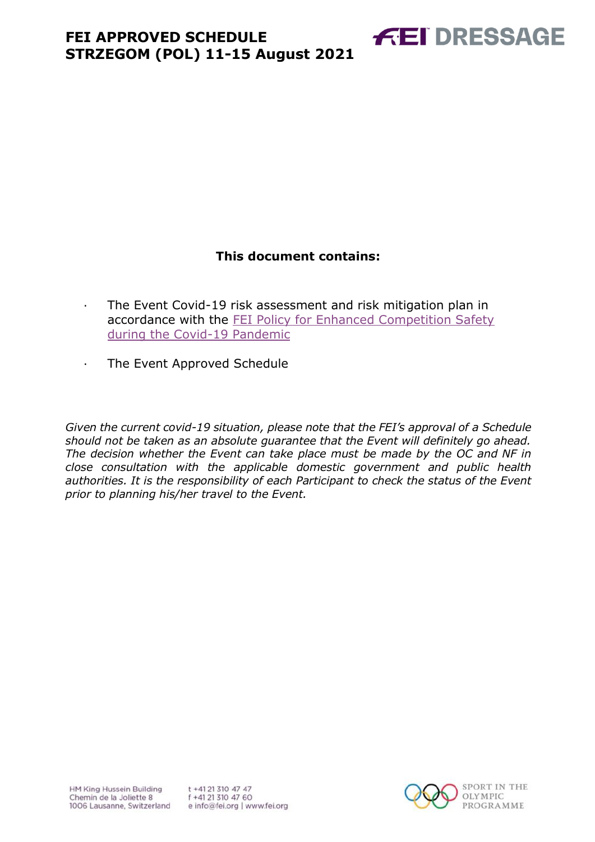

### **This document contains:**

- <span id="page-0-0"></span>· The Event Covid-19 risk assessment and risk mitigation plan in accordance with the [FEI Policy for Enhanced Competition Safety](https://inside.fei.org/fei/covid-19/return-to-play)  [during the Covid-19 Pandemic](https://inside.fei.org/fei/covid-19/return-to-play)
- · The Event Approved Schedule

*Given the current covid-19 situation, please note that the FEI's approval of a Schedule should not be taken as an absolute guarantee that the Event will definitely go ahead. The decision whether the Event can take place must be made by the OC and NF in close consultation with the applicable domestic government and public health authorities. It is the responsibility of each Participant to check the status of the Event prior to planning his/her travel to the Event.*

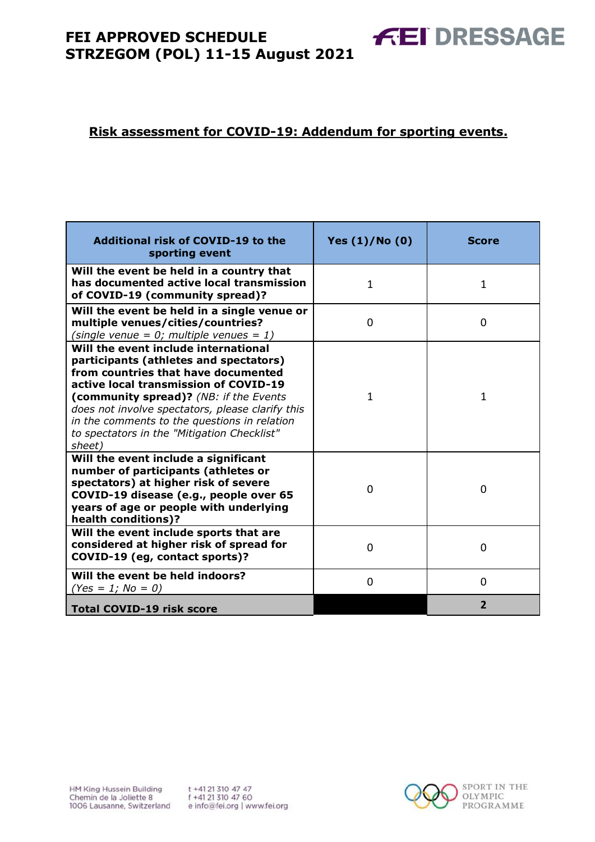#### **Risk assessment for COVID-19: Addendum for sporting events.**

| <b>Additional risk of COVID-19 to the</b><br>sporting event                                                                                                                                                                                                                                                                                                           | Yes (1)/No (0) | <b>Score</b>   |
|-----------------------------------------------------------------------------------------------------------------------------------------------------------------------------------------------------------------------------------------------------------------------------------------------------------------------------------------------------------------------|----------------|----------------|
| Will the event be held in a country that<br>has documented active local transmission<br>of COVID-19 (community spread)?                                                                                                                                                                                                                                               | $\mathbf{1}$   | 1              |
| Will the event be held in a single venue or<br>multiple venues/cities/countries?<br>(single venue = $0$ ; multiple venues = 1)                                                                                                                                                                                                                                        | 0              | 0              |
| Will the event include international<br>participants (athletes and spectators)<br>from countries that have documented<br>active local transmission of COVID-19<br>(community spread)? (NB: if the Events<br>does not involve spectators, please clarify this<br>in the comments to the questions in relation<br>to spectators in the "Mitigation Checklist"<br>sheet) | 1              | 1              |
| Will the event include a significant<br>number of participants (athletes or<br>spectators) at higher risk of severe<br>COVID-19 disease (e.g., people over 65<br>years of age or people with underlying<br>health conditions)?                                                                                                                                        | 0              | 0              |
| Will the event include sports that are<br>considered at higher risk of spread for<br>COVID-19 (eg, contact sports)?                                                                                                                                                                                                                                                   | $\Omega$       | $\Omega$       |
| Will the event be held indoors?<br>$(Yes = 1; No = 0)$                                                                                                                                                                                                                                                                                                                | $\Omega$       | $\Omega$       |
| <b>Total COVID-19 risk score</b>                                                                                                                                                                                                                                                                                                                                      |                | $\overline{2}$ |



**FEI DRESSAGE**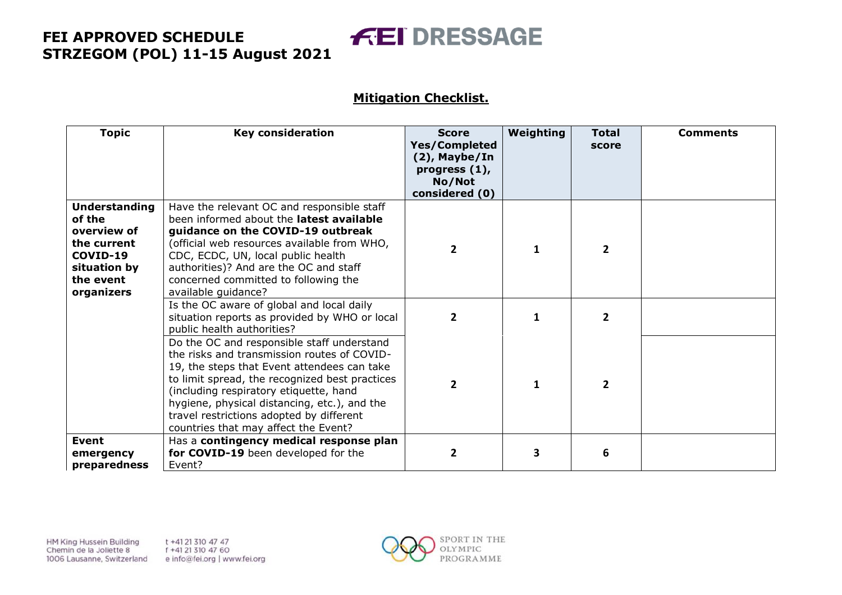# **FEI DRESSAGE**

#### **Mitigation Checklist.**

| <b>Topic</b>                                                                                                        | <b>Key consideration</b>                                                                                                                                                                                                                                                                                                                                                 | <b>Score</b><br><b>Yes/Completed</b><br>(2), Maybe/In<br>progress $(1)$ ,<br>No/Not<br>considered (0) | Weighting | <b>Total</b><br>score | <b>Comments</b> |
|---------------------------------------------------------------------------------------------------------------------|--------------------------------------------------------------------------------------------------------------------------------------------------------------------------------------------------------------------------------------------------------------------------------------------------------------------------------------------------------------------------|-------------------------------------------------------------------------------------------------------|-----------|-----------------------|-----------------|
| <b>Understanding</b><br>of the<br>overview of<br>the current<br>COVID-19<br>situation by<br>the event<br>organizers | Have the relevant OC and responsible staff<br>been informed about the latest available<br>guidance on the COVID-19 outbreak<br>(official web resources available from WHO,<br>CDC, ECDC, UN, local public health<br>authorities)? And are the OC and staff<br>concerned committed to following the<br>available guidance?                                                | $\overline{2}$                                                                                        |           | $\overline{2}$        |                 |
|                                                                                                                     | Is the OC aware of global and local daily<br>situation reports as provided by WHO or local<br>public health authorities?                                                                                                                                                                                                                                                 | $\mathbf{2}$                                                                                          | 1         | 2                     |                 |
|                                                                                                                     | Do the OC and responsible staff understand<br>the risks and transmission routes of COVID-<br>19, the steps that Event attendees can take<br>to limit spread, the recognized best practices<br>(including respiratory etiquette, hand<br>hygiene, physical distancing, etc.), and the<br>travel restrictions adopted by different<br>countries that may affect the Event? | $\overline{2}$                                                                                        | 1         | $\overline{2}$        |                 |
| <b>Event</b><br>emergency<br>preparedness                                                                           | Has a contingency medical response plan<br>for COVID-19 been developed for the<br>Event?                                                                                                                                                                                                                                                                                 | $\overline{2}$                                                                                        | 3         | 6                     |                 |

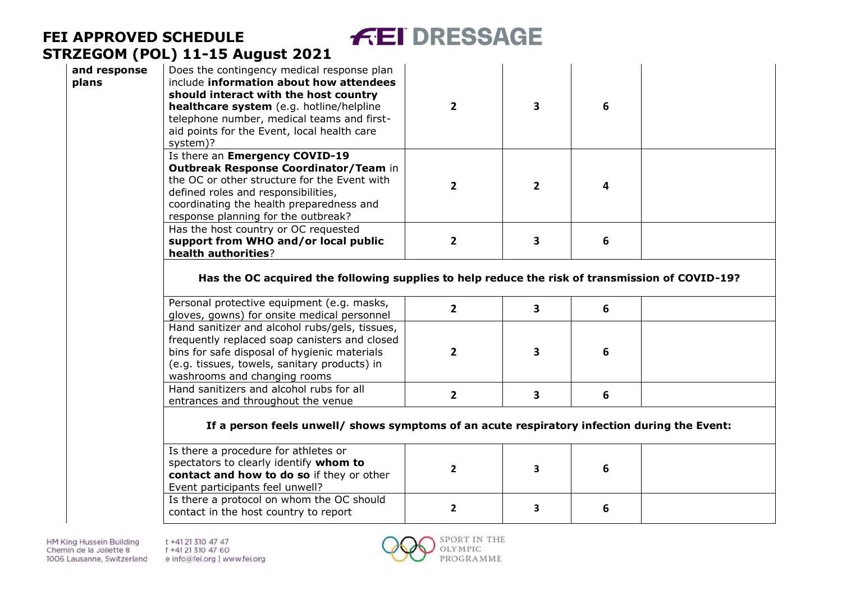| and response<br>plans | Does the contingency medical response plan<br>include information about how attendees<br>should interact with the host country<br>healthcare system (e.g. hotline/helpline<br>telephone number, medical teams and first-<br>aid points for the Event, local health care<br>system)? | $\overline{2}$ | 3            | 6 |  |
|-----------------------|-------------------------------------------------------------------------------------------------------------------------------------------------------------------------------------------------------------------------------------------------------------------------------------|----------------|--------------|---|--|
|                       | Is there an Emergency COVID-19<br>Outbreak Response Coordinator/Team in<br>the OC or other structure for the Event with<br>defined roles and responsibilities,<br>coordinating the health preparedness and<br>response planning for the outbreak?                                   | $\overline{2}$ | $\mathbf{2}$ | 4 |  |
|                       | Has the host country or OC requested<br>support from WHO and/or local public<br>health authorities?                                                                                                                                                                                 | $\overline{2}$ | 3            | 6 |  |
|                       | Has the OC acquired the following supplies to help reduce the risk of transmission of COVID-19?                                                                                                                                                                                     |                |              |   |  |
|                       | Personal protective equipment (e.g. masks,<br>gloves, gowns) for onsite medical personnel                                                                                                                                                                                           | $\overline{2}$ | 3            | 6 |  |
|                       | Hand sanitizer and alcohol rubs/gels, tissues,<br>frequently replaced soap canisters and closed<br>bins for safe disposal of hygienic materials<br>(e.g. tissues, towels, sanitary products) in<br>washrooms and changing rooms                                                     | $\mathbf{2}$   | 3            | 6 |  |
|                       | Hand sanitizers and alcohol rubs for all<br>entrances and throughout the venue                                                                                                                                                                                                      | $\mathbf{2}$   | 3            | 6 |  |
|                       | If a person feels unwell/ shows symptoms of an acute respiratory infection during the Event:                                                                                                                                                                                        |                |              |   |  |
|                       | Is there a procedure for athletes or<br>spectators to clearly identify whom to<br>contact and how to do so if they or other<br>Event participants feel unwell?                                                                                                                      | $\mathbf{2}$   | 3            | 6 |  |

**FEI DRESSAGE** 

Is there a protocol on whom the OC should contact in the host country to report **2 3 6**

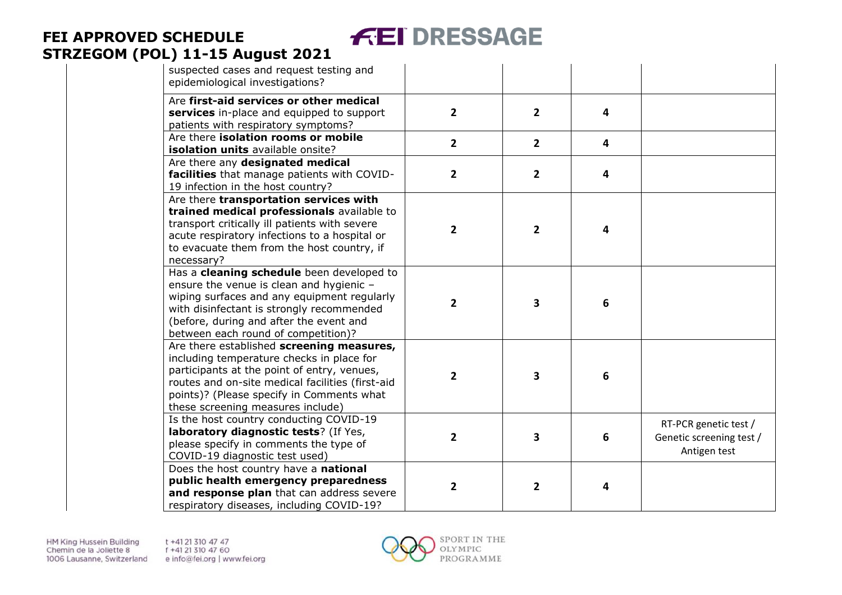#### **FEI DRESSAGE FEI APPROVED SCHEDULE STRZEGOM (POL) 11 -15 August 2021**

| suspected cases and request testing and<br>epidemiological investigations?                                                                                                                                                                                                  |                         |                |                         |                                                                   |
|-----------------------------------------------------------------------------------------------------------------------------------------------------------------------------------------------------------------------------------------------------------------------------|-------------------------|----------------|-------------------------|-------------------------------------------------------------------|
| Are first-aid services or other medical<br>services in-place and equipped to support<br>patients with respiratory symptoms?                                                                                                                                                 | $\overline{2}$          | $\overline{2}$ | $\overline{\mathbf{4}}$ |                                                                   |
| Are there isolation rooms or mobile<br>isolation units available onsite?                                                                                                                                                                                                    | $\mathbf{2}$            | $\overline{2}$ | $\overline{4}$          |                                                                   |
| Are there any designated medical<br>facilities that manage patients with COVID-<br>19 infection in the host country?                                                                                                                                                        | 2                       | $\overline{2}$ | $\overline{4}$          |                                                                   |
| Are there transportation services with<br>trained medical professionals available to<br>transport critically ill patients with severe<br>acute respiratory infections to a hospital or<br>to evacuate them from the host country, if<br>necessary?                          | $\mathbf{2}$            | $\mathbf{2}$   | 4                       |                                                                   |
| Has a cleaning schedule been developed to<br>ensure the venue is clean and hygienic -<br>wiping surfaces and any equipment regularly<br>with disinfectant is strongly recommended<br>(before, during and after the event and<br>between each round of competition)?         | $\overline{2}$          | 3              | $\boldsymbol{6}$        |                                                                   |
| Are there established screening measures,<br>including temperature checks in place for<br>participants at the point of entry, venues,<br>routes and on-site medical facilities (first-aid<br>points)? (Please specify in Comments what<br>these screening measures include) | $\overline{2}$          | 3              | $6\phantom{1}6$         |                                                                   |
| Is the host country conducting COVID-19<br>laboratory diagnostic tests? (If Yes,<br>please specify in comments the type of<br>COVID-19 diagnostic test used)                                                                                                                | $\overline{\mathbf{2}}$ | 3              | $\boldsymbol{6}$        | RT-PCR genetic test /<br>Genetic screening test /<br>Antigen test |
| Does the host country have a national<br>public health emergency preparedness<br>and response plan that can address severe<br>respiratory diseases, including COVID-19?                                                                                                     | $\overline{\mathbf{2}}$ | $\overline{2}$ | 4                       |                                                                   |

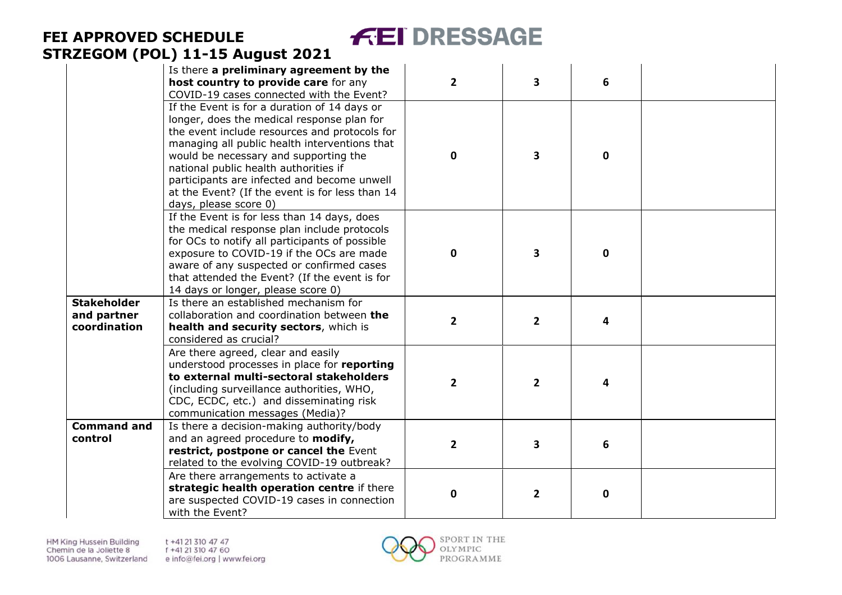#### **FEI DRESSAGE FEI APPROVED SCHEDULE STRZEGOM (POL) 11 -15 August 2021**

|                                                   | Is there a preliminary agreement by the<br>host country to provide care for any<br>COVID-19 cases connected with the Event?                                                                                                                                                                                                                                                                               | $\overline{2}$ | 3              | 6           |  |
|---------------------------------------------------|-----------------------------------------------------------------------------------------------------------------------------------------------------------------------------------------------------------------------------------------------------------------------------------------------------------------------------------------------------------------------------------------------------------|----------------|----------------|-------------|--|
|                                                   | If the Event is for a duration of 14 days or<br>longer, does the medical response plan for<br>the event include resources and protocols for<br>managing all public health interventions that<br>would be necessary and supporting the<br>national public health authorities if<br>participants are infected and become unwell<br>at the Event? (If the event is for less than 14<br>days, please score 0) | 0              | 3              | $\mathbf 0$ |  |
|                                                   | If the Event is for less than 14 days, does<br>the medical response plan include protocols<br>for OCs to notify all participants of possible<br>exposure to COVID-19 if the OCs are made<br>aware of any suspected or confirmed cases<br>that attended the Event? (If the event is for<br>14 days or longer, please score 0)                                                                              | 0              | 3              | $\mathbf 0$ |  |
| <b>Stakeholder</b><br>and partner<br>coordination | Is there an established mechanism for<br>collaboration and coordination between the<br>health and security sectors, which is<br>considered as crucial?                                                                                                                                                                                                                                                    | $\overline{2}$ | $\overline{2}$ | 4           |  |
|                                                   | Are there agreed, clear and easily<br>understood processes in place for reporting<br>to external multi-sectoral stakeholders<br>(including surveillance authorities, WHO,<br>CDC, ECDC, etc.) and disseminating risk<br>communication messages (Media)?                                                                                                                                                   | $\overline{2}$ | $\overline{2}$ | 4           |  |
| <b>Command and</b><br>control                     | Is there a decision-making authority/body<br>and an agreed procedure to modify,<br>restrict, postpone or cancel the Event<br>related to the evolving COVID-19 outbreak?                                                                                                                                                                                                                                   | $\overline{2}$ | 3              | 6           |  |
|                                                   | Are there arrangements to activate a<br>strategic health operation centre if there<br>are suspected COVID-19 cases in connection<br>with the Event?                                                                                                                                                                                                                                                       | 0              | $\mathbf{2}$   | 0           |  |

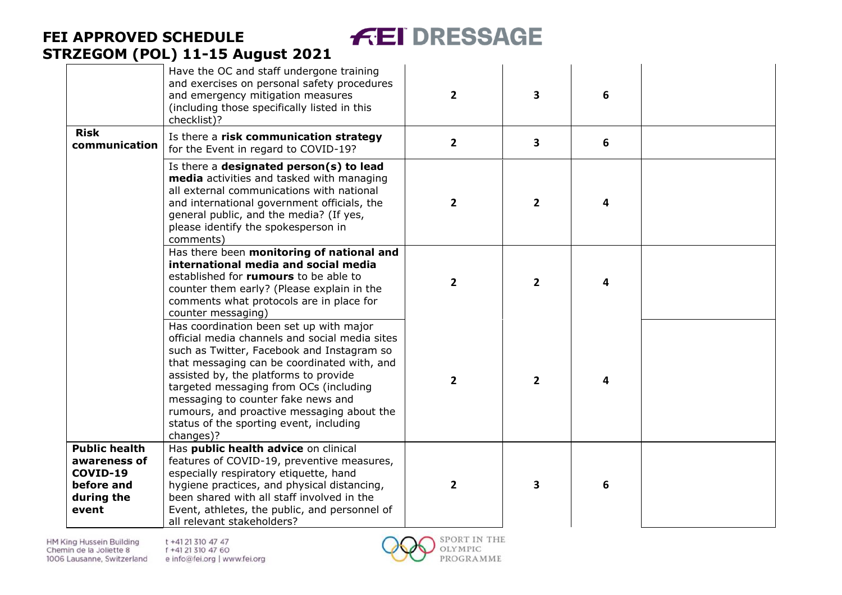# **FEI DRESSAGE**

# **FEI APPROVED SCHEDULE STRZEGOM (POL) 11 -15 August 2021**

|                                                                                       | Have the OC and staff undergone training<br>and exercises on personal safety procedures<br>and emergency mitigation measures<br>(including those specifically listed in this<br>checklist)?                                                                                                                                                                                                                           | $\overline{2}$ | 3                       | 6 |  |
|---------------------------------------------------------------------------------------|-----------------------------------------------------------------------------------------------------------------------------------------------------------------------------------------------------------------------------------------------------------------------------------------------------------------------------------------------------------------------------------------------------------------------|----------------|-------------------------|---|--|
| <b>Risk</b><br>communication                                                          | Is there a risk communication strategy<br>for the Event in regard to COVID-19?                                                                                                                                                                                                                                                                                                                                        | $\overline{2}$ | $\overline{\mathbf{3}}$ | 6 |  |
|                                                                                       | Is there a designated person(s) to lead<br>media activities and tasked with managing<br>all external communications with national<br>and international government officials, the<br>general public, and the media? (If yes,<br>please identify the spokesperson in<br>comments)                                                                                                                                       | $\overline{2}$ | $\mathbf{2}$            | 4 |  |
|                                                                                       | Has there been monitoring of national and<br>international media and social media<br>established for rumours to be able to<br>counter them early? (Please explain in the<br>comments what protocols are in place for<br>counter messaging)                                                                                                                                                                            | $\overline{2}$ | $\overline{2}$          | 4 |  |
|                                                                                       | Has coordination been set up with major<br>official media channels and social media sites<br>such as Twitter, Facebook and Instagram so<br>that messaging can be coordinated with, and<br>assisted by, the platforms to provide<br>targeted messaging from OCs (including<br>messaging to counter fake news and<br>rumours, and proactive messaging about the<br>status of the sporting event, including<br>changes)? | $\overline{2}$ | $\overline{2}$          | 4 |  |
| <b>Public health</b><br>awareness of<br>COVID-19<br>before and<br>during the<br>event | Has public health advice on clinical<br>features of COVID-19, preventive measures,<br>especially respiratory etiquette, hand<br>hygiene practices, and physical distancing,<br>been shared with all staff involved in the<br>Event, athletes, the public, and personnel of<br>all relevant stakeholders?                                                                                                              | $\overline{2}$ | 3                       | 6 |  |

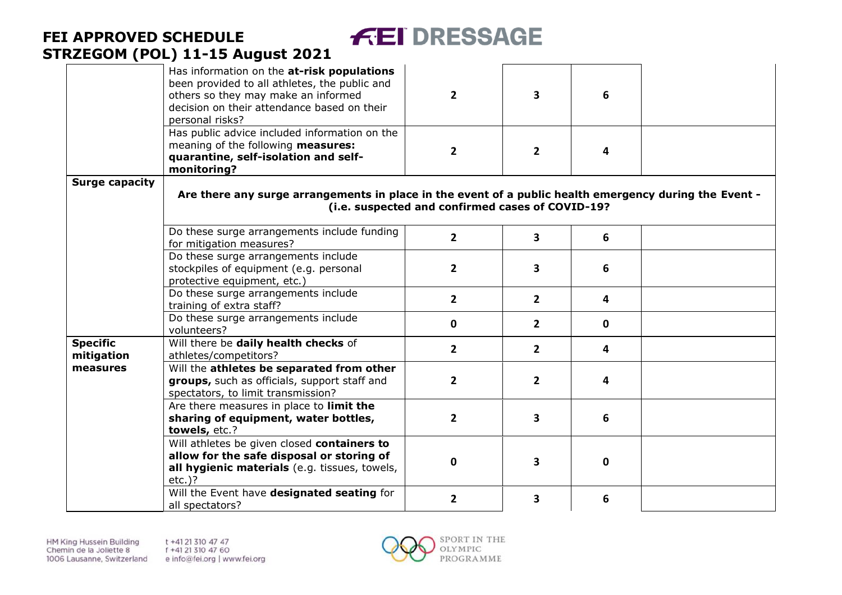

|                               | Has information on the at-risk populations<br>been provided to all athletes, the public and<br>others so they may make an informed<br>decision on their attendance based on their<br>personal risks? | $\overline{2}$                                   | $\overline{\mathbf{3}}$ | 6            |  |
|-------------------------------|------------------------------------------------------------------------------------------------------------------------------------------------------------------------------------------------------|--------------------------------------------------|-------------------------|--------------|--|
|                               | Has public advice included information on the<br>meaning of the following measures:<br>quarantine, self-isolation and self-<br>monitoring?                                                           | $\mathbf{2}$                                     | $\overline{2}$          | 4            |  |
| <b>Surge capacity</b>         | Are there any surge arrangements in place in the event of a public health emergency during the Event -                                                                                               | (i.e. suspected and confirmed cases of COVID-19? |                         |              |  |
|                               | Do these surge arrangements include funding<br>for mitigation measures?                                                                                                                              | $\overline{2}$                                   | 3                       | 6            |  |
|                               | Do these surge arrangements include<br>stockpiles of equipment (e.g. personal<br>protective equipment, etc.)                                                                                         | $\overline{2}$                                   | $\overline{\mathbf{3}}$ | 6            |  |
|                               | Do these surge arrangements include<br>training of extra staff?                                                                                                                                      | $2^{\circ}$                                      | $\overline{2}$          | 4            |  |
|                               | Do these surge arrangements include<br>volunteers?                                                                                                                                                   | $\mathbf 0$                                      | $\overline{2}$          | $\mathbf 0$  |  |
| <b>Specific</b><br>mitigation | Will there be daily health checks of<br>athletes/competitors?                                                                                                                                        | $\overline{2}$                                   | $\overline{2}$          | 4            |  |
| measures                      | Will the athletes be separated from other<br>groups, such as officials, support staff and<br>spectators, to limit transmission?                                                                      | $\overline{2}$                                   | $\overline{2}$          | 4            |  |
|                               | Are there measures in place to limit the<br>sharing of equipment, water bottles,<br>towels, etc.?                                                                                                    | $\overline{2}$                                   | 3                       | 6            |  |
|                               | Will athletes be given closed containers to<br>allow for the safe disposal or storing of<br>all hygienic materials (e.g. tissues, towels,<br>$etc.$ )?                                               | $\Omega$                                         | 3                       | $\mathbf{0}$ |  |
|                               | Will the Event have designated seating for<br>all spectators?                                                                                                                                        | $\overline{2}$                                   | 3                       | 6            |  |

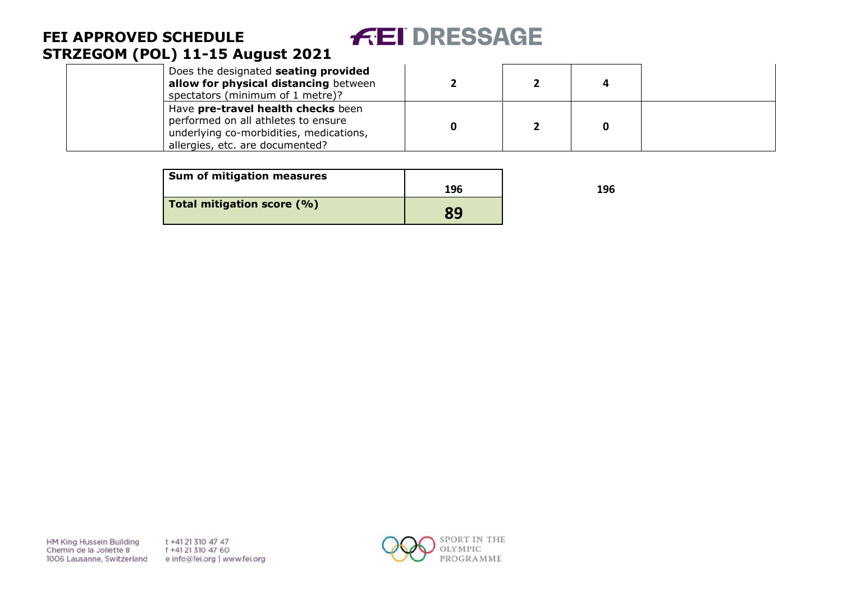#### **FEI DRESSAGE FEI APPROVED SCHEDULE STRZEGOM (POL) 11 -15 August 2021**

| Does the designated seating provided<br>allow for physical distancing between<br>spectators (minimum of 1 metre)?                                       |  |  |
|---------------------------------------------------------------------------------------------------------------------------------------------------------|--|--|
| Have pre-travel health checks been<br>performed on all athletes to ensure<br>underlying co-morbidities, medications,<br>allergies, etc. are documented? |  |  |

| <b>Sum of mitigation measures</b> |     |     |
|-----------------------------------|-----|-----|
|                                   | 196 | 196 |
| Total mitigation score (%)        | 89  |     |

HM King Hussein Building Chemin de la Joliette 8 1006 Lausanne, Switzerland t +41 21 310 47 47 f +41 21 310 47 60 e info@fei.org | www.fei.org

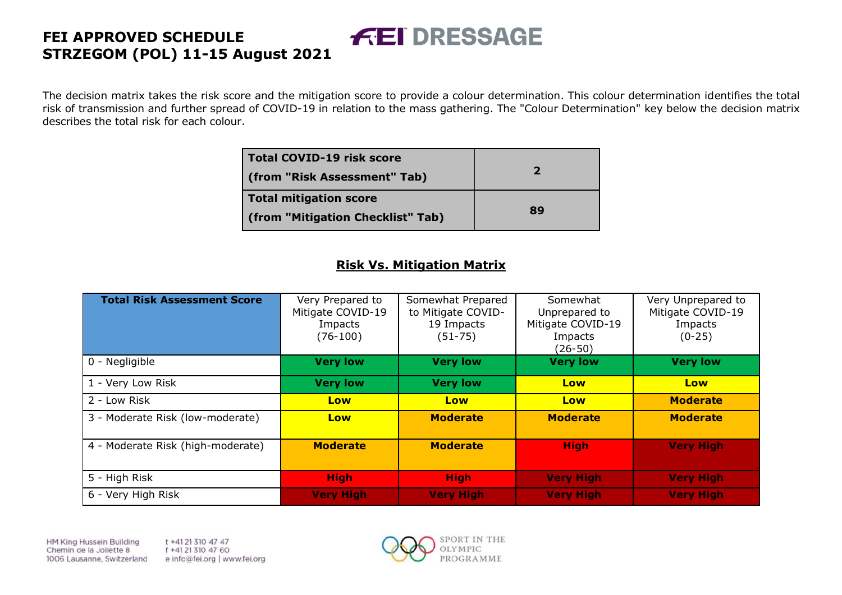The decision matrix takes the risk score and the mitigation score to provide a colour determination. This colour determination identifies the total risk of transmission and further spread of COVID-19 in relation to the mass gathering. The "Colour Determination" key below the decision matrix describes the total risk for each colour.

**FEI DRESSAGE** 

| <b>Total COVID-19 risk score</b><br>(from "Risk Assessment" Tab) | 2  |
|------------------------------------------------------------------|----|
| <b>Total mitigation score</b>                                    | 89 |
| (from "Mitigation Checklist" Tab)                                |    |

#### **Risk Vs. Mitigation Matrix**

| <b>Total Risk Assessment Score</b> | Very Prepared to<br>Mitigate COVID-19<br>Impacts<br>$(76-100)$ | Somewhat Prepared<br>to Mitigate COVID-<br>19 Impacts<br>$(51 - 75)$ | Somewhat<br>Unprepared to<br>Mitigate COVID-19<br>Impacts<br>(26-50) | Very Unprepared to<br>Mitigate COVID-19<br>Impacts<br>$(0-25)$ |
|------------------------------------|----------------------------------------------------------------|----------------------------------------------------------------------|----------------------------------------------------------------------|----------------------------------------------------------------|
| 0 - Negligible                     | <b>Very low</b>                                                | <b>Very low</b>                                                      | <b>Very low</b>                                                      | <b>Very low</b>                                                |
| 1 - Very Low Risk                  | <b>Very low</b>                                                | <b>Very low</b>                                                      | Low                                                                  | Low                                                            |
| 2 - Low Risk                       | Low                                                            | Low                                                                  | Low                                                                  | <b>Moderate</b>                                                |
| 3 - Moderate Risk (low-moderate)   | Low                                                            | <b>Moderate</b>                                                      | <b>Moderate</b>                                                      | <b>Moderate</b>                                                |
| 4 - Moderate Risk (high-moderate)  | <b>Moderate</b>                                                | <b>Moderate</b>                                                      | <b>High</b>                                                          | <b>Very High</b>                                               |
| 5 - High Risk                      | <b>High</b>                                                    | <b>High</b>                                                          | <b>Very High</b>                                                     | <b>Very High</b>                                               |
| 6 - Very High Risk                 | <b>Very High</b>                                               | <b>Very High</b>                                                     | <b>Very High</b>                                                     | <b>Very High</b>                                               |

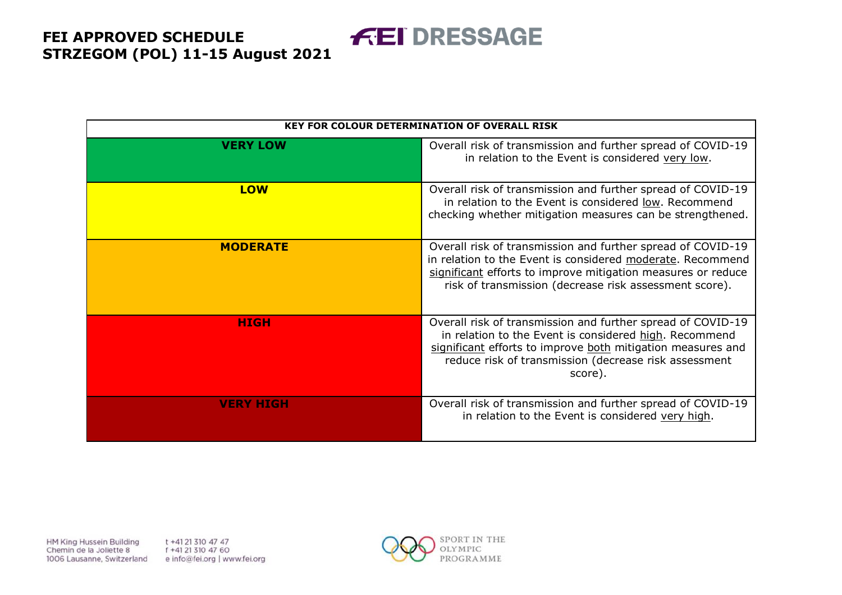**FEI DRESSAGE** 

|                  | <b>KEY FOR COLOUR DETERMINATION OF OVERALL RISK</b>                                                                                                                                                                                                      |
|------------------|----------------------------------------------------------------------------------------------------------------------------------------------------------------------------------------------------------------------------------------------------------|
| <b>VERY LOW</b>  | Overall risk of transmission and further spread of COVID-19<br>in relation to the Event is considered very low.                                                                                                                                          |
| <b>LOW</b>       | Overall risk of transmission and further spread of COVID-19<br>in relation to the Event is considered low. Recommend<br>checking whether mitigation measures can be strengthened.                                                                        |
| <b>MODERATE</b>  | Overall risk of transmission and further spread of COVID-19<br>in relation to the Event is considered moderate. Recommend<br>significant efforts to improve mitigation measures or reduce<br>risk of transmission (decrease risk assessment score).      |
| <b>HIGH</b>      | Overall risk of transmission and further spread of COVID-19<br>in relation to the Event is considered high. Recommend<br>significant efforts to improve both mitigation measures and<br>reduce risk of transmission (decrease risk assessment<br>score). |
| <b>VERY HIGH</b> | Overall risk of transmission and further spread of COVID-19<br>in relation to the Event is considered very high.                                                                                                                                         |

HM King Hussein Building Chemin de la Joliette 8 1006 Lausanne, Switzerland t +41 21 310 47 47 f +41 21 310 47 60 e info@fei.org | www.fei.org

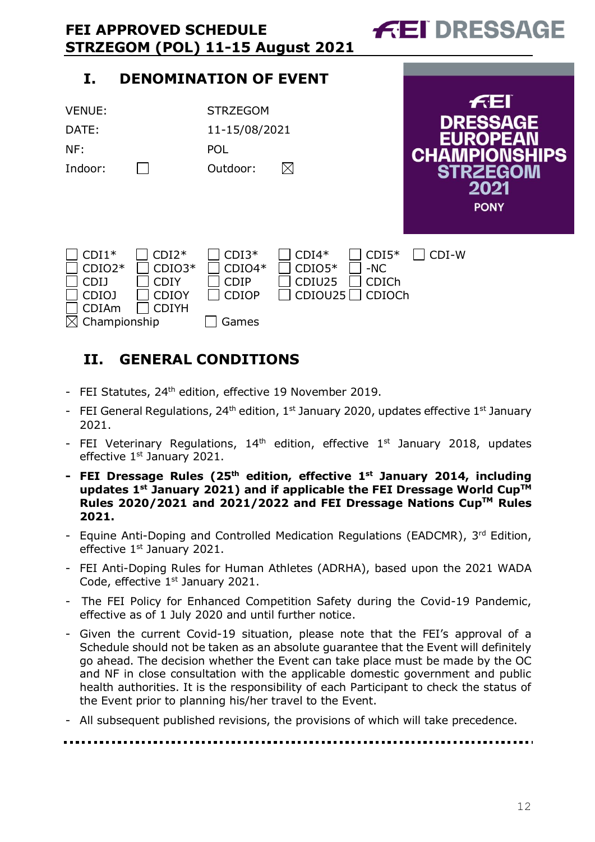| <b>FEI APPROVED SCHEDULE</b><br>STRZEGOM (POL) 11-15 August 2021                   |                                                                    |                                                             |                                          |                                                   |       | <i>f</i> El DRESSAGE                                                                                         |
|------------------------------------------------------------------------------------|--------------------------------------------------------------------|-------------------------------------------------------------|------------------------------------------|---------------------------------------------------|-------|--------------------------------------------------------------------------------------------------------------|
| I.                                                                                 | <b>DENOMINATION OF EVENT</b>                                       |                                                             |                                          |                                                   |       |                                                                                                              |
| <b>VENUE:</b><br>DATE:<br>NF:<br>Indoor:                                           |                                                                    | <b>STRZEGOM</b><br>11-15/08/2021<br><b>POL</b><br>Outdoor:  | $\boxtimes$                              |                                                   |       | f(E)<br><b>DRESSAGE</b><br><b>EUROPEAN</b><br><b>CHAMPIONSHIPS</b><br><b>STRZEGOM</b><br>2021<br><b>PONY</b> |
| $CDI^*$<br>$CDIO2*$<br><b>CDIJ</b><br><b>CDIOJ</b><br><b>CDIAm</b><br>Championship | $CDI2*$<br>$CDIO3*$<br><b>CDIY</b><br><b>CDIOY</b><br><b>CDIYH</b> | $CDI3*$<br>$CDIO4*$<br><b>CDIP</b><br><b>CDIOP</b><br>Games | $CDI4*$<br>$CDIO5*$<br>CDIU25<br>CDIOU25 | $CDI5*$<br>$-NC$<br><b>CDICh</b><br><b>CDIOCh</b> | CDI-W |                                                                                                              |

# <span id="page-11-0"></span>**II. GENERAL CONDITIONS**

- FEI Statutes, 24<sup>th</sup> edition, effective 19 November 2019.
- FEI General Regulations,  $24<sup>th</sup>$  edition,  $1<sup>st</sup>$  January 2020, updates effective  $1<sup>st</sup>$  January 2021.
- FEI Veterinary Regulations,  $14<sup>th</sup>$  edition, effective  $1<sup>st</sup>$  January 2018, updates effective 1<sup>st</sup> January 2021.
- **- FEI Dressage Rules (25 th edition, effective 1st January 2014, including updates 1 st January 2021) and if applicable the FEI Dressage World CupTM Rules 2020/2021 and 2021/2022 and FEI Dressage Nations CupTM Rules 2021.**
- Equine Anti-Doping and Controlled Medication Regulations (EADCMR), 3rd Edition, effective 1<sup>st</sup> January 2021.
- FEI Anti-Doping Rules for Human Athletes (ADRHA), based upon the 2021 WADA Code, effective 1<sup>st</sup> January 2021.
- The FEI Policy for Enhanced Competition Safety during the Covid-19 Pandemic, effective as of 1 July 2020 and until further notice.
- Given the current Covid-19 situation, please note that the FEI's approval of a Schedule should not be taken as an absolute guarantee that the Event will definitely go ahead. The decision whether the Event can take place must be made by the OC and NF in close consultation with the applicable domestic government and public health authorities. It is the responsibility of each Participant to check the status of the Event prior to planning his/her travel to the Event.
- All subsequent published revisions, the provisions of which will take precedence.

#### -----------------------

 $\sim$   $\sim$   $\sim$   $\sim$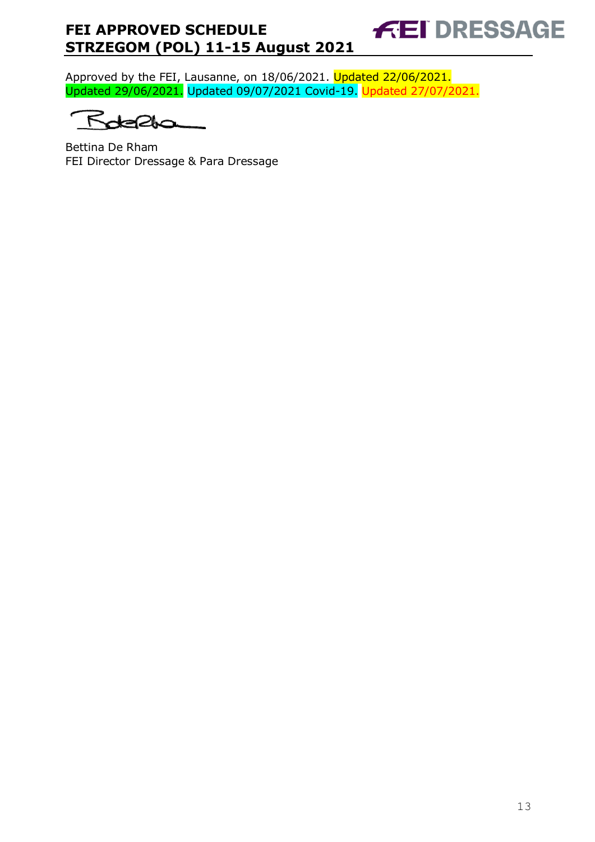Approved by the FEI, Lausanne, on 18/06/2021. Updated 22/06/2021. Updated 29/06/2021. Updated 09/07/2021 Covid-19. Updated 27/07/2021.

۴  $2<sub>0</sub>$ 

Bettina De Rham FEI Director Dressage & Para Dressage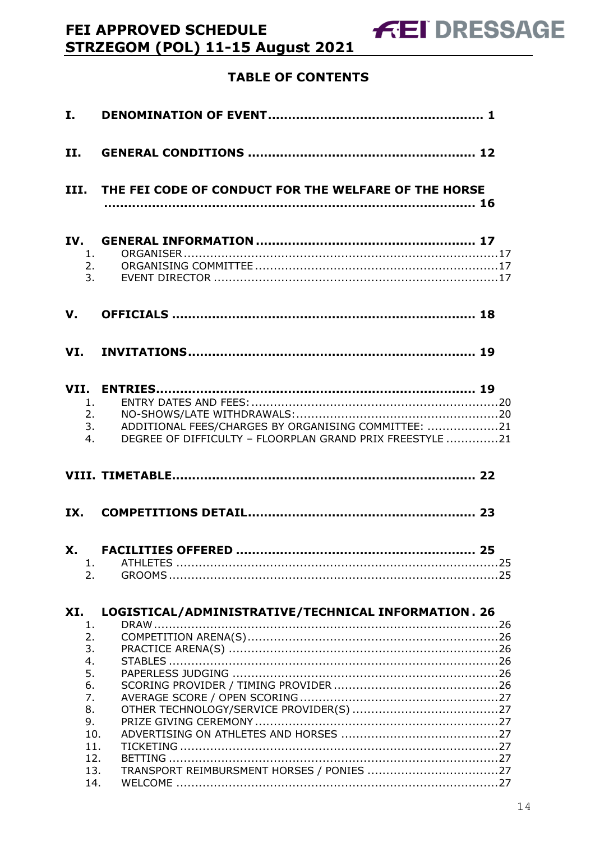# **TABLE OF CONTENTS**

FEI APPROVED SCHEDULE

STRZEGOM (POL) 11-15 August 2021

| II.                  |                                                                                                                 |
|----------------------|-----------------------------------------------------------------------------------------------------------------|
|                      | III. THE FEI CODE OF CONDUCT FOR THE WELFARE OF THE HORSE                                                       |
| 1.<br>2.<br>3.       |                                                                                                                 |
| V.                   |                                                                                                                 |
|                      |                                                                                                                 |
| 1.<br>2.<br>3.<br>4. | ADDITIONAL FEES/CHARGES BY ORGANISING COMMITTEE: 21<br>DEGREE OF DIFFICULTY - FLOORPLAN GRAND PRIX FREESTYLE 21 |
|                      |                                                                                                                 |
|                      |                                                                                                                 |
| IX.                  |                                                                                                                 |
| 1.<br>2.             | 25                                                                                                              |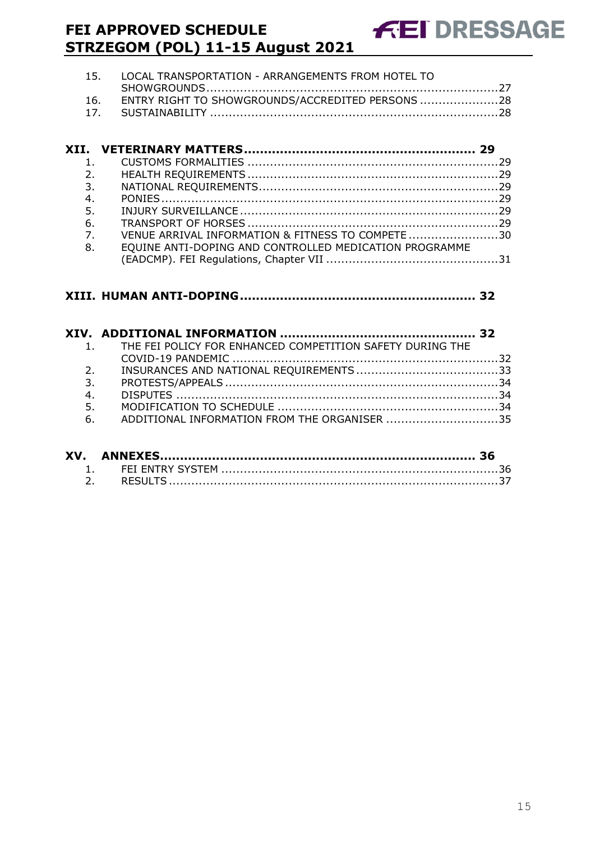| 16. ENTRY RIGHT TO SHOWGROUNDS/ACCREDITED PERSONS 28 |
|------------------------------------------------------|
|                                                      |
|                                                      |

| 1.                        |                                                        |  |
|---------------------------|--------------------------------------------------------|--|
| $\overline{\mathbf{2}}$ . |                                                        |  |
| 3.                        |                                                        |  |
| 4.                        |                                                        |  |
| 5.                        |                                                        |  |
| 6.                        |                                                        |  |
| $\overline{7}$ .          | VENUE ARRIVAL INFORMATION & FITNESS TO COMPETE 30      |  |
| 8.                        | EQUINE ANTI-DOPING AND CONTROLLED MEDICATION PROGRAMME |  |
|                           |                                                        |  |

#### **XIII. [HUMAN ANTI-DOPING...........................................................](#page-31-0) 32**

|                | 1. THE FEI POLICY FOR ENHANCED COMPETITION SAFETY DURING THE |  |
|----------------|--------------------------------------------------------------|--|
|                |                                                              |  |
| 2 <sup>1</sup> |                                                              |  |
| 3.             |                                                              |  |
| 4.             |                                                              |  |
| 5.             |                                                              |  |
| 6.             | ADDITIONAL INFORMATION FROM THE ORGANISER 35                 |  |
|                |                                                              |  |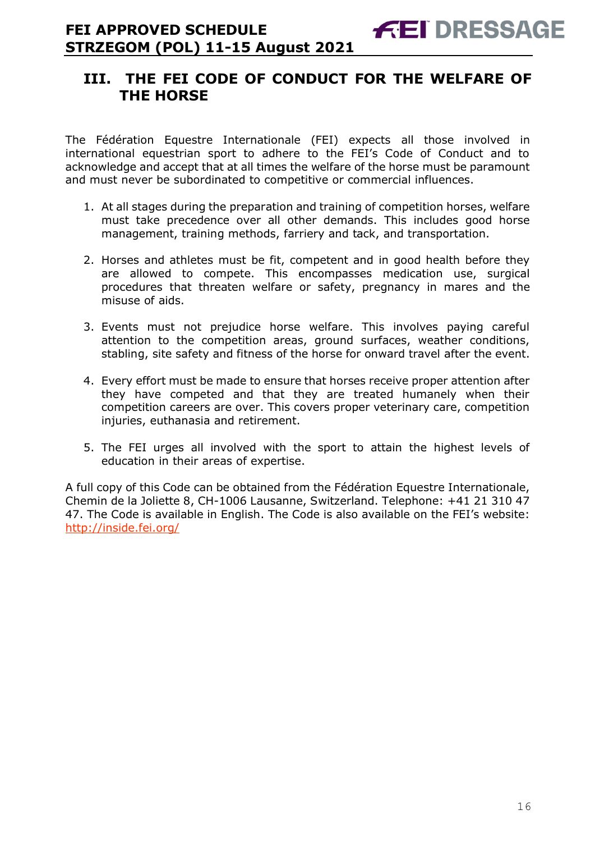# <span id="page-15-0"></span>**III. THE FEI CODE OF CONDUCT FOR THE WELFARE OF THE HORSE**

The Fédération Equestre Internationale (FEI) expects all those involved in international equestrian sport to adhere to the FEI's Code of Conduct and to acknowledge and accept that at all times the welfare of the horse must be paramount and must never be subordinated to competitive or commercial influences.

- 1. At all stages during the preparation and training of competition horses, welfare must take precedence over all other demands. This includes good horse management, training methods, farriery and tack, and transportation.
- 2. Horses and athletes must be fit, competent and in good health before they are allowed to compete. This encompasses medication use, surgical procedures that threaten welfare or safety, pregnancy in mares and the misuse of aids.
- 3. Events must not prejudice horse welfare. This involves paying careful attention to the competition areas, ground surfaces, weather conditions, stabling, site safety and fitness of the horse for onward travel after the event.
- 4. Every effort must be made to ensure that horses receive proper attention after they have competed and that they are treated humanely when their competition careers are over. This covers proper veterinary care, competition injuries, euthanasia and retirement.
- 5. The FEI urges all involved with the sport to attain the highest levels of education in their areas of expertise.

A full copy of this Code can be obtained from the Fédération Equestre Internationale, Chemin de la Joliette 8, CH-1006 Lausanne, Switzerland. Telephone: +41 21 310 47 47. The Code is available in English. The Code is also available on the FEI's website: <http://inside.fei.org/>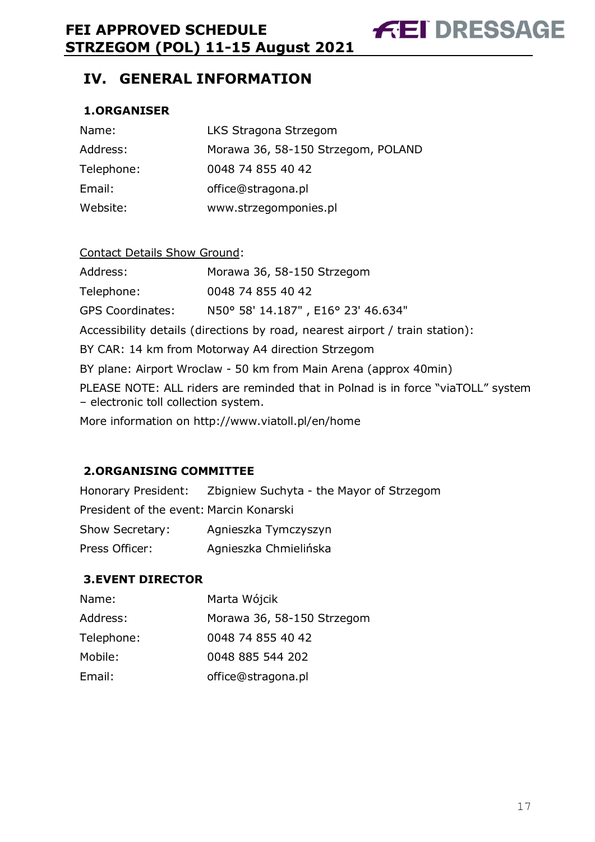**FEI DRESSAGE** 

# <span id="page-16-0"></span>**IV. GENERAL INFORMATION**

#### <span id="page-16-1"></span>**1.ORGANISER**

| Name:      | LKS Stragona Strzegom              |
|------------|------------------------------------|
| Address:   | Morawa 36, 58-150 Strzegom, POLAND |
| Telephone: | 0048 74 855 40 42                  |
| Email:     | office@stragona.pl                 |
| Website:   | www.strzegomponies.pl              |

#### Contact Details Show Ground:

| Address:         | Morawa 36, 58-150 Strzegom         |
|------------------|------------------------------------|
| Telephone:       | 0048 74 855 40 42                  |
| GPS Coordinates: | N50° 58' 14.187", E16° 23' 46.634" |

Accessibility details (directions by road, nearest airport / train station):

BY CAR: 14 km from Motorway A4 direction Strzegom

BY plane: Airport Wroclaw - 50 km from Main Arena (approx 40min)

PLEASE NOTE: ALL riders are reminded that in Polnad is in force "viaTOLL" system – electronic toll collection system.

More information on http://www.viatoll.pl/en/home

#### <span id="page-16-2"></span>**2.ORGANISING COMMITTEE**

Honorary President: Zbigniew Suchyta - the Mayor of Strzegom President of the event: Marcin Konarski Show Secretary: Agnieszka Tymczyszyn Press Officer: Agnieszka Chmielińska

#### <span id="page-16-3"></span>**3.EVENT DIRECTOR**

| Name:      | Marta Wójcik               |
|------------|----------------------------|
| Address:   | Morawa 36, 58-150 Strzegom |
| Telephone: | 0048 74 855 40 42          |
| Mobile:    | 0048 885 544 202           |
| Email:     | office@stragona.pl         |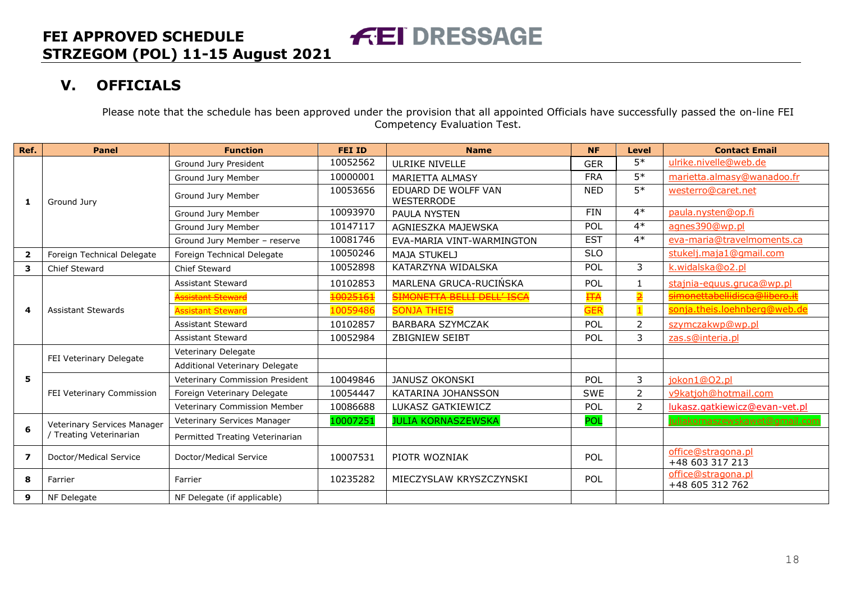# **V. OFFICIALS**

Please note that the schedule has been approved under the provision that all appointed Officials have successfully passed the on-line FEI Competency Evaluation Test.

<span id="page-17-0"></span>

| Ref.                    | <b>Panel</b>                                           | <b>Function</b>                 | <b>FEI ID</b> | <b>Name</b>                              | <b>NF</b>  | <b>Level</b>    | <b>Contact Email</b>                  |
|-------------------------|--------------------------------------------------------|---------------------------------|---------------|------------------------------------------|------------|-----------------|---------------------------------------|
|                         |                                                        | Ground Jury President           | 10052562      | ULRIKE NIVELLE                           | <b>GER</b> | $5*$            | ulrike.nivelle@web.de                 |
|                         | Ground Jury                                            | Ground Jury Member              | 10000001      | MARIETTA ALMASY                          | <b>FRA</b> | $5*$            | marietta.almasy@wanadoo.fr            |
| 1                       |                                                        | Ground Jury Member              | 10053656      | EDUARD DE WOLFF VAN<br><b>WESTERRODE</b> | <b>NED</b> | $\overline{5*}$ | westerro@caret.net                    |
|                         |                                                        | Ground Jury Member              | 10093970      | PAULA NYSTEN                             | <b>FIN</b> | $4*$            | paula.nysten@op.fi                    |
|                         |                                                        | Ground Jury Member              | 10147117      | AGNIESZKA MAJEWSKA                       | POL        | $4*$            | agnes390@wp.pl                        |
|                         |                                                        | Ground Jury Member - reserve    | 10081746      | EVA-MARIA VINT-WARMINGTON                | <b>EST</b> | $4*$            | eva-maria@travelmoments.ca            |
| $\overline{\mathbf{2}}$ | Foreign Technical Delegate                             | Foreign Technical Delegate      | 10050246      | <b>MAJA STUKELJ</b>                      | <b>SLO</b> |                 | stukelj.maja1@gmail.com               |
| 3                       | Chief Steward                                          | Chief Steward                   | 10052898      | KATARZYNA WIDALSKA                       | POL        | 3               | k.widalska@o2.pl                      |
|                         |                                                        | <b>Assistant Steward</b>        | 10102853      | MARLENA GRUCA-RUCINSKA                   | POL        | $\mathbf{1}$    | stajnia-equus.gruca@wp.pl             |
|                         |                                                        | ssistant Steward                | 10025161      | <b>SIMONETTA BELLI DELL'ISCA</b>         | <b>FFA</b> |                 | simonettabellidisca@libero.it         |
| 4                       | <b>Assistant Stewards</b>                              | <b>Assistant Steward</b>        | 10059486      | <b>SONJA THEIS</b>                       | <b>GER</b> |                 | sonja.theis.loehnberg@web.de          |
|                         |                                                        | <b>Assistant Steward</b>        | 10102857      | <b>BARBARA SZYMCZAK</b>                  | POL        | $\overline{2}$  | szymczakwp@wp.pl                      |
|                         |                                                        | <b>Assistant Steward</b>        | 10052984      | <b>ZBIGNIEW SEIBT</b>                    | POL        | 3               | zas.s@interia.pl                      |
|                         | FEI Veterinary Delegate                                | Veterinary Delegate             |               |                                          |            |                 |                                       |
|                         |                                                        | Additional Veterinary Delegate  |               |                                          |            |                 |                                       |
| 5                       |                                                        | Veterinary Commission President | 10049846      | <b>JANUSZ OKONSKI</b>                    | POL        | 3               | jokon1@02.pl                          |
|                         | FEI Veterinary Commission                              | Foreign Veterinary Delegate     | 10054447      | KATARINA JOHANSSON                       | <b>SWE</b> | $\overline{2}$  | v9katjoh@hotmail.com                  |
|                         |                                                        | Veterinary Commission Member    | 10086688      | LUKASZ GATKIEWICZ                        | POL        | $\overline{2}$  | lukasz.gatkiewicz@evan-vet.pl         |
|                         | Veterinary Services Manager<br>/ Treating Veterinarian | Veterinary Services Manager     | 10007251      | <b>JULIA KORNASZEWSKA</b>                | POL        |                 | juliakornaszewskawet@gmail.con        |
| 6                       |                                                        | Permitted Treating Veterinarian |               |                                          |            |                 |                                       |
| 7                       | Doctor/Medical Service                                 | Doctor/Medical Service          | 10007531      | PIOTR WOZNIAK                            | POL        |                 | office@stragona.pl<br>+48 603 317 213 |
| 8                       | Farrier                                                | Farrier                         | 10235282      | MIECZYSLAW KRYSZCZYNSKI                  | <b>POL</b> |                 | office@stragona.pl<br>+48 605 312 762 |
| 9                       | NF Delegate                                            | NF Delegate (if applicable)     |               |                                          |            |                 |                                       |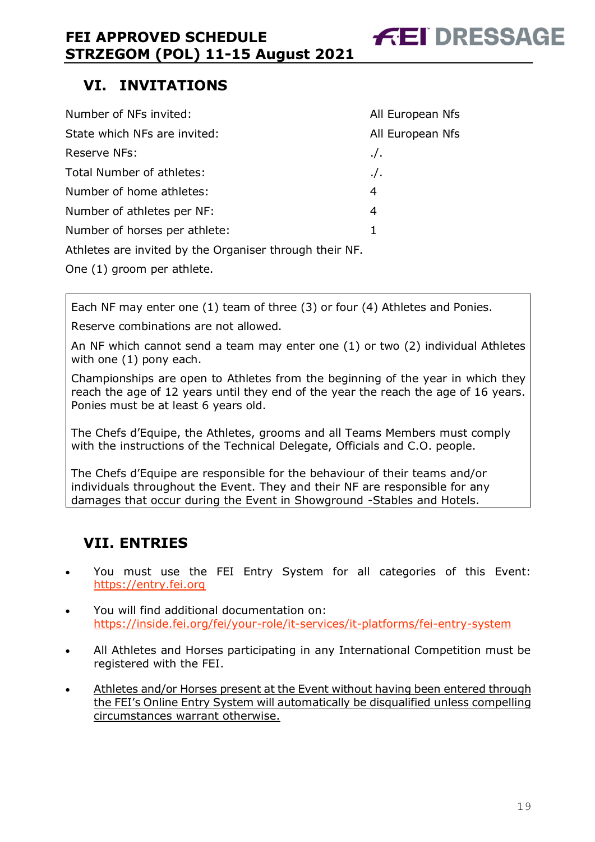# <span id="page-18-0"></span>**VI. INVITATIONS**

| Number of NFs invited:                                  | All European Nfs |
|---------------------------------------------------------|------------------|
| State which NFs are invited:                            | All European Nfs |
| Reserve NFs:                                            | $\cdot$ /.       |
| Total Number of athletes:                               | $\cdot$ /.       |
| Number of home athletes:                                | 4                |
| Number of athletes per NF:                              | 4                |
| Number of horses per athlete:                           | 1                |
| Athletes are invited by the Organiser through their NF. |                  |

One (1) groom per athlete.

Each NF may enter one (1) team of three (3) or four (4) Athletes and Ponies.

Reserve combinations are not allowed.

An NF which cannot send a team may enter one (1) or two (2) individual Athletes with one (1) pony each.

Championships are open to Athletes from the beginning of the year in which they reach the age of 12 years until they end of the year the reach the age of 16 years. Ponies must be at least 6 years old.

The Chefs d'Equipe, the Athletes, grooms and all Teams Members must comply with the instructions of the Technical Delegate, Officials and C.O. people.

The Chefs d'Equipe are responsible for the behaviour of their teams and/or individuals throughout the Event. They and their NF are responsible for any damages that occur during the Event in Showground -Stables and Hotels.

# <span id="page-18-1"></span>**VII. ENTRIES**

- You must use the FEI Entry System for all categories of this Event: [https://entry.fei.org](https://entry.fei.org/)
- You will find additional documentation on: <https://inside.fei.org/fei/your-role/it-services/it-platforms/fei-entry-system>
- All Athletes and Horses participating in any International Competition must be registered with the FEI.
- Athletes and/or Horses present at the Event without having been entered through the FEI's Online Entry System will automatically be disqualified unless compelling circumstances warrant otherwise.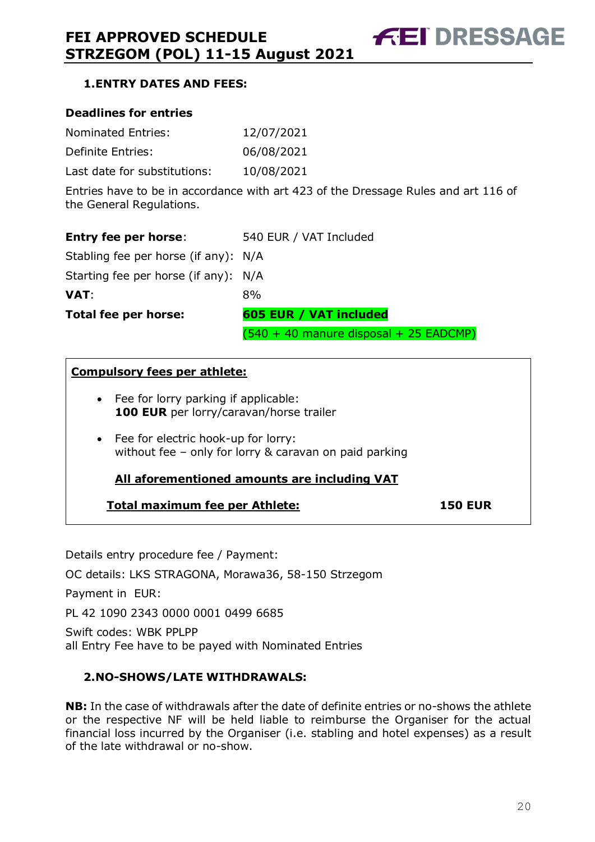#### <span id="page-19-0"></span>**1.ENTRY DATES AND FEES:**

#### **Deadlines for entries**

| Nominated Entries:           | 12/07/2021 |
|------------------------------|------------|
| Definite Entries:            | 06/08/2021 |
| Last date for substitutions: | 10/08/2021 |

Entries have to be in accordance with art 423 of the Dressage Rules and art 116 of the General Regulations.

| <b>Entry fee per horse:</b>          | 540 EUR / VAT Included                   |
|--------------------------------------|------------------------------------------|
| Stabling fee per horse (if any): N/A |                                          |
| Starting fee per horse (if any): N/A |                                          |
| VAT:                                 | 8%                                       |
| Total fee per horse:                 | 605 EUR / VAT included                   |
|                                      | $(540 + 40$ manure disposal + 25 EADCMP) |

#### **Compulsory fees per athlete:**

- Fee for lorry parking if applicable: **100 EUR** per lorry/caravan/horse trailer
- Fee for electric hook-up for lorry: without fee – only for lorry & caravan on paid parking

#### **All aforementioned amounts are including VAT**

#### **Total maximum fee per Athlete: 150 EUR**

Details entry procedure fee / Payment: OC details: LKS STRAGONA, Morawa36, 58-150 Strzegom Payment in EUR: PL 42 1090 2343 0000 0001 0499 6685 Swift codes: WBK PPLPP all Entry Fee have to be payed with Nominated Entries

#### <span id="page-19-1"></span>**2.NO-SHOWS/LATE WITHDRAWALS:**

**NB:** In the case of withdrawals after the date of definite entries or no-shows the athlete or the respective NF will be held liable to reimburse the Organiser for the actual financial loss incurred by the Organiser (i.e. stabling and hotel expenses) as a result of the late withdrawal or no-show.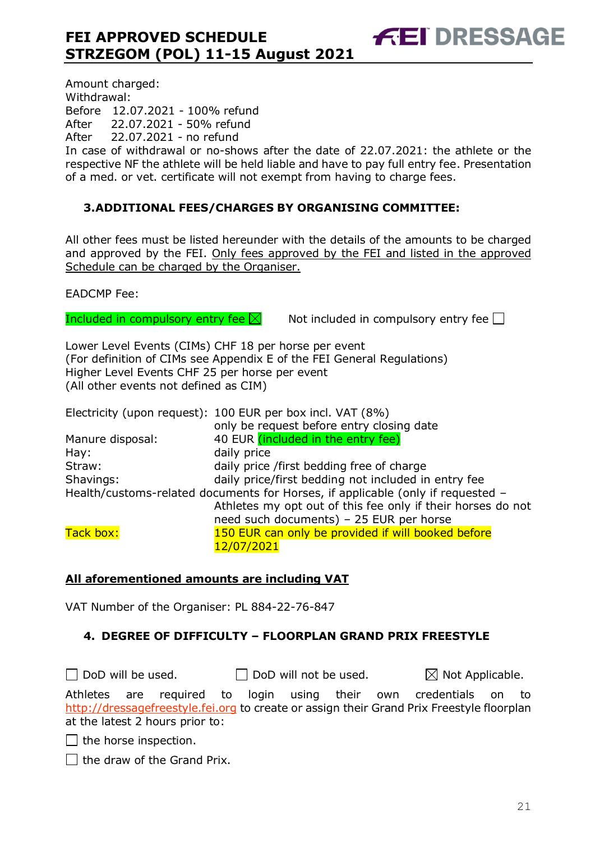In case of withdrawal or no-shows after the date of 22.07.2021: the athlete or the respective NF the athlete will be held liable and have to pay full entry fee. Presentation of a med. or vet. certificate will not exempt from having to charge fees.

#### <span id="page-20-0"></span>**3.ADDITIONAL FEES/CHARGES BY ORGANISING COMMITTEE:**

All other fees must be listed hereunder with the details of the amounts to be charged and approved by the FEI. Only fees approved by the FEI and listed in the approved Schedule can be charged by the Organiser.

EADCMP Fee:

Included in compulsory entry fee  $\boxtimes$  Not included in compulsory entry fee  $\Box$ 

**FEI DRESSAGE** 

Lower Level Events (CIMs) CHF 18 per horse per event (For definition of CIMs see Appendix E of the FEI General Regulations) Higher Level Events CHF 25 per horse per event (All other events not defined as CIM)

Electricity (upon request): 100 EUR per box incl. VAT (8%) only be request before entry closing date Manure disposal: 40 EUR (included in the entry fee) Hay: daily price Straw: daily price /first bedding free of charge Shavings: daily price/first bedding not included in entry fee Health/customs-related documents for Horses, if applicable (only if requested – Athletes my opt out of this fee only if their horses do not need such documents) – 25 EUR per horse Tack box: 150 EUR can only be provided if will booked before 12/07/2021

#### **All aforementioned amounts are including VAT**

VAT Number of the Organiser: PL 884-22-76-847

#### <span id="page-20-1"></span>**4. DEGREE OF DIFFICULTY – FLOORPLAN GRAND PRIX FREESTYLE**

 $\Box$  DoD will be used.  $\Box$  DoD will not be used.  $\boxtimes$  Not Applicable. Athletes are required to login using their own credentials on to [http://dressagefreestyle.fei.org](http://dressagefreestyle.fei.org/) to create or assign their Grand Prix Freestyle floorplan at the latest 2 hours prior to:

 $\Box$  the horse inspection.

 $\Box$  the draw of the Grand Prix.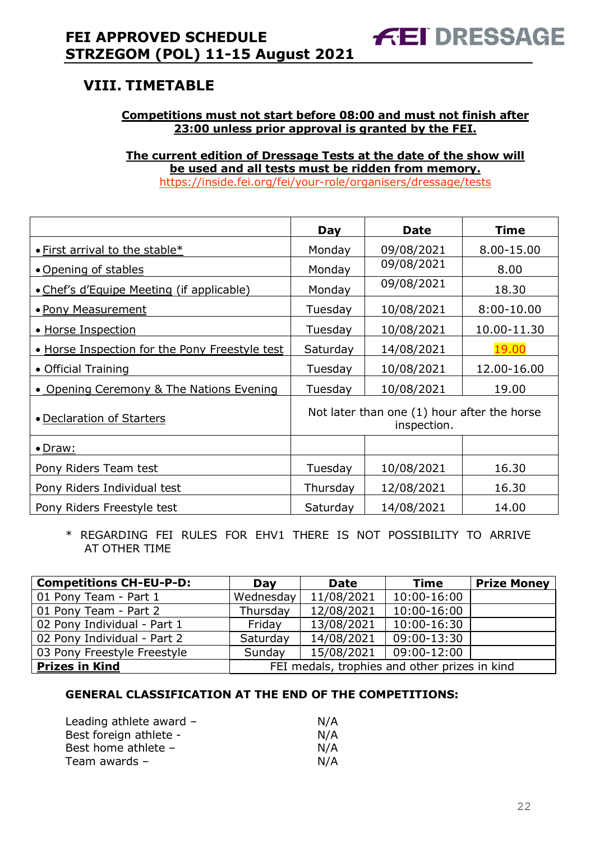# <span id="page-21-0"></span>**VIII. TIMETABLE**

#### **Competitions must not start before 08:00 and must not finish after 23:00 unless prior approval is granted by the FEI.**

**The current edition of Dressage Tests at the date of the show will be used and all tests must be ridden from memory.** <https://inside.fei.org/fei/your-role/organisers/dressage/tests>

|                                                | Day                                                        | <b>Date</b> | <b>Time</b>  |
|------------------------------------------------|------------------------------------------------------------|-------------|--------------|
|                                                |                                                            |             |              |
| • First arrival to the stable*                 | Monday                                                     | 09/08/2021  | 8.00-15.00   |
| • Opening of stables                           | Monday                                                     | 09/08/2021  | 8.00         |
| • Chef's d'Equipe Meeting (if applicable)      | Monday                                                     | 09/08/2021  | 18.30        |
| • Pony Measurement                             | Tuesday                                                    | 10/08/2021  | $8:00-10.00$ |
| • Horse Inspection                             | Tuesday                                                    | 10/08/2021  | 10.00-11.30  |
| . Horse Inspection for the Pony Freestyle test | Saturday                                                   | 14/08/2021  | 19.00        |
| • Official Training                            | Tuesday                                                    | 10/08/2021  | 12.00-16.00  |
| • Opening Ceremony & The Nations Evening       | Tuesday                                                    | 10/08/2021  | 19.00        |
| • Declaration of Starters                      | Not later than one (1) hour after the horse<br>inspection. |             |              |
| • Draw:                                        |                                                            |             |              |
| Pony Riders Team test                          | Tuesday                                                    | 10/08/2021  | 16.30        |
| Pony Riders Individual test                    | Thursday                                                   | 12/08/2021  | 16.30        |
| Pony Riders Freestyle test                     | Saturday                                                   | 14/08/2021  | 14.00        |

\* REGARDING FEI RULES FOR EHV1 THERE IS NOT POSSIBILITY TO ARRIVE AT OTHER TIME

| <b>Competitions CH-EU-P-D:</b> | Day                                           | <b>Date</b> | <b>Time</b>        | <b>Prize Money</b> |
|--------------------------------|-----------------------------------------------|-------------|--------------------|--------------------|
| 01 Pony Team - Part 1          | Wednesday                                     | 11/08/2021  | 10:00-16:00        |                    |
| 01 Pony Team - Part 2          | Thursday                                      | 12/08/2021  | 10:00-16:00        |                    |
| 02 Pony Individual - Part 1    | Fridav                                        | 13/08/2021  | $10:00 - 16:30$    |                    |
| 02 Pony Individual - Part 2    | Saturday                                      | 14/08/2021  | 09:00-13:30        |                    |
| 03 Pony Freestyle Freestyle    | Sunday                                        | 15/08/2021  | $\mid$ 09:00-12:00 |                    |
| <b>Prizes in Kind</b>          | FEI medals, trophies and other prizes in kind |             |                    |                    |

#### **GENERAL CLASSIFICATION AT THE END OF THE COMPETITIONS:**

| Leading athlete award - | N/A |
|-------------------------|-----|
| Best foreign athlete -  | N/A |
| Best home athlete -     | N/A |
| Team awards -           | N/A |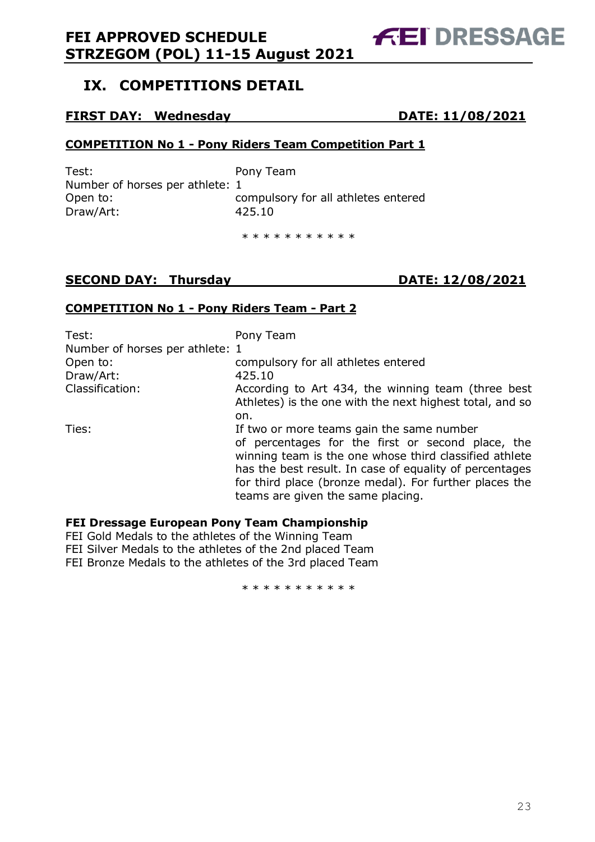## <span id="page-22-0"></span>**IX. COMPETITIONS DETAIL**

#### **FIRST DAY: Wednesday DATE: 11/08/2021**

**COMPETITION No 1 - Pony Riders Team Competition Part 1**

Test: Pony Team Number of horses per athlete: 1 Draw/Art: 425.10

Open to: compulsory for all athletes entered

\* \* \* \* \* \* \* \* \* \*

### **SECOND DAY: Thursday DATE: 12/08/2021**

#### **COMPETITION No 1 - Pony Riders Team - Part 2**

| Test:                           | Pony Team                                                                                                                                                                                                                                                                                                          |
|---------------------------------|--------------------------------------------------------------------------------------------------------------------------------------------------------------------------------------------------------------------------------------------------------------------------------------------------------------------|
| Number of horses per athlete: 1 |                                                                                                                                                                                                                                                                                                                    |
| Open to:                        | compulsory for all athletes entered                                                                                                                                                                                                                                                                                |
| Draw/Art:                       | 425.10                                                                                                                                                                                                                                                                                                             |
| Classification:                 | According to Art 434, the winning team (three best<br>Athletes) is the one with the next highest total, and so                                                                                                                                                                                                     |
|                                 | on.                                                                                                                                                                                                                                                                                                                |
| Ties:                           | If two or more teams gain the same number<br>of percentages for the first or second place, the<br>winning team is the one whose third classified athlete<br>has the best result. In case of equality of percentages<br>for third place (bronze medal). For further places the<br>teams are given the same placing. |

#### **FEI Dressage European Pony Team Championship**

FEI Gold Medals to the athletes of the Winning Team FEI Silver Medals to the athletes of the 2nd placed Team FEI Bronze Medals to the athletes of the 3rd placed Team

\* \* \* \* \* \* \* \* \* \*

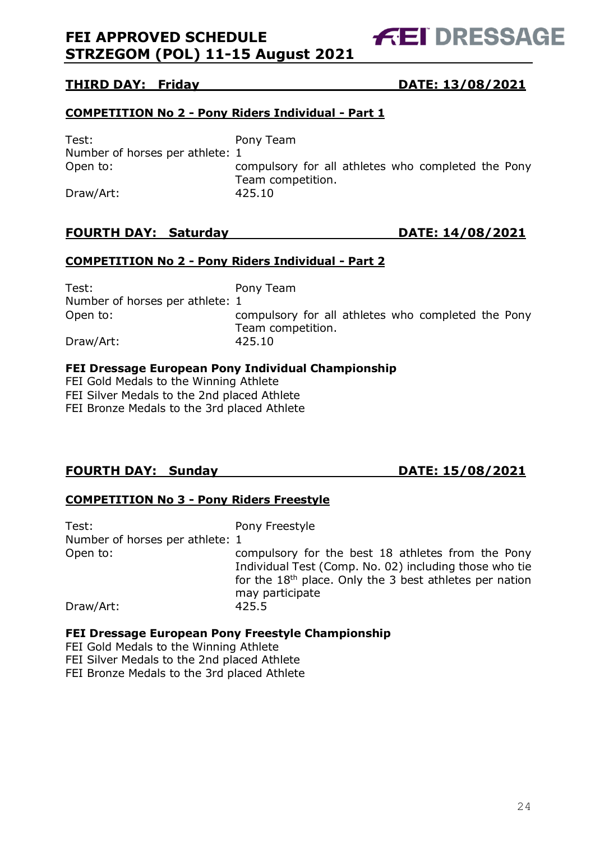**FEI DRESSAGE** 

#### **THIRD DAY: Friday DATE: 13/08/2021**

#### **COMPETITION No 2 - Pony Riders Individual - Part 1**

Test: Pony Team Number of horses per athlete: 1

Open to: compulsory for all athletes who completed the Pony Team competition. Draw/Art: 425.10

#### **FOURTH DAY: Saturday DATE: 14/08/2021**

#### **COMPETITION No 2 - Pony Riders Individual - Part 2**

Test: Pony Team Number of horses per athlete: 1 Open to: compulsory for all athletes who completed the Pony Team competition. Draw/Art: 425.10

#### **FEI Dressage European Pony Individual Championship**

FEI Gold Medals to the Winning Athlete FEI Silver Medals to the 2nd placed Athlete FEI Bronze Medals to the 3rd placed Athlete

#### **FOURTH DAY: Sunday DATE: 15/08/2021**

#### **COMPETITION No 3 - Pony Riders Freestyle**

| Test:<br>Number of horses per athlete: 1 | Pony Freestyle                                                                                                                                                                                        |
|------------------------------------------|-------------------------------------------------------------------------------------------------------------------------------------------------------------------------------------------------------|
| Open to:                                 | compulsory for the best 18 athletes from the Pony<br>Individual Test (Comp. No. 02) including those who tie<br>for the 18 <sup>th</sup> place. Only the 3 best athletes per nation<br>may participate |
| Draw/Art:                                | 425.5                                                                                                                                                                                                 |

#### **FEI Dressage European Pony Freestyle Championship**

FEI Gold Medals to the Winning Athlete

FEI Silver Medals to the 2nd placed Athlete

FEI Bronze Medals to the 3rd placed Athlete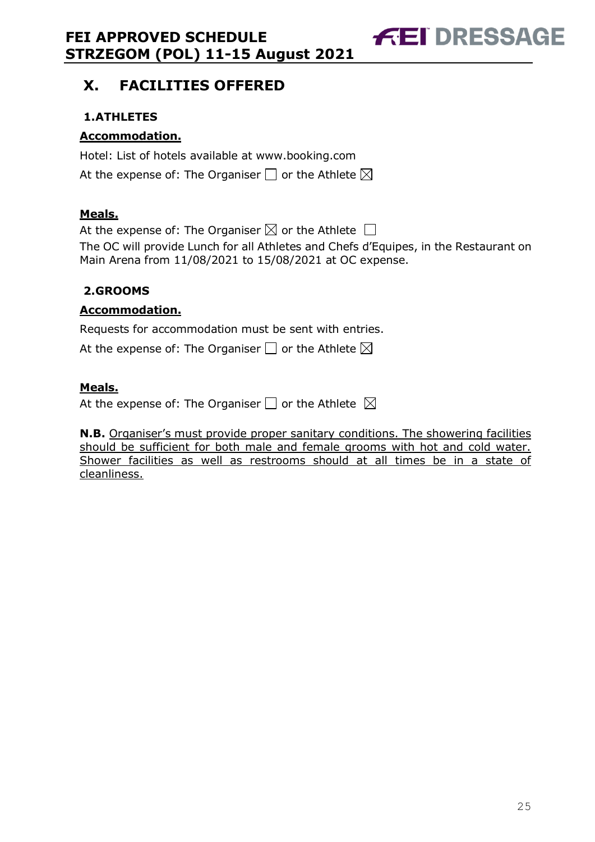**FEI DRESSAGE** 

# <span id="page-24-0"></span>**X. FACILITIES OFFERED**

### <span id="page-24-1"></span>**1.ATHLETES**

#### **Accommodation.**

Hotel: List of hotels available at www.booking.com

At the expense of: The Organiser  $\Box$  or the Athlete  $\boxtimes$ 

#### **Meals.**

At the expense of: The Organiser  $\boxtimes$  or the Athlete  $\Box$ The OC will provide Lunch for all Athletes and Chefs d'Equipes, in the Restaurant on Main Arena from 11/08/2021 to 15/08/2021 at OC expense.

#### <span id="page-24-2"></span>**2.GROOMS**

#### **Accommodation.**

Requests for accommodation must be sent with entries.

At the expense of: The Organiser  $\Box$  or the Athlete  $\boxtimes$ 

#### **Meals.**

At the expense of: The Organiser  $\square$  or the Athlete  $\boxtimes$ 

**N.B.** Organiser's must provide proper sanitary conditions. The showering facilities should be sufficient for both male and female grooms with hot and cold water. Shower facilities as well as restrooms should at all times be in a state of cleanliness.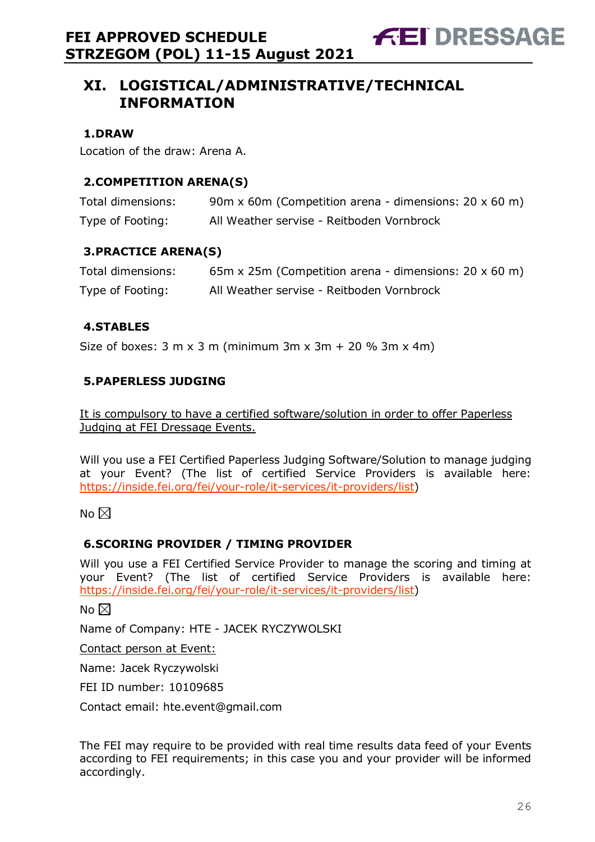**FEI DRESSAGE** 

#### <span id="page-25-1"></span><span id="page-25-0"></span>**1.DRAW**

Location of the draw: Arena A.

#### <span id="page-25-2"></span>**2.COMPETITION ARENA(S)**

| Total dimensions: | 90m x 60m (Competition arena - dimensions: $20 \times 60$ m) |
|-------------------|--------------------------------------------------------------|
| Type of Footing:  | All Weather servise - Reitboden Vornbrock                    |

#### <span id="page-25-3"></span>**3.PRACTICE ARENA(S)**

| Total dimensions: | 65m x 25m (Competition arena - dimensions: $20 \times 60$ m) |
|-------------------|--------------------------------------------------------------|
| Type of Footing:  | All Weather servise - Reitboden Vornbrock                    |

#### <span id="page-25-4"></span>**4.STABLES**

Size of boxes:  $3 \text{ m} \times 3 \text{ m}$  (minimum  $3 \text{ m} \times 3 \text{ m} + 20 \% 3 \text{ m} \times 4 \text{ m}$ )

#### <span id="page-25-5"></span>**5.PAPERLESS JUDGING**

It is compulsory to have a certified software/solution in order to offer Paperless Judging at FEI Dressage Events.

Will you use a FEI Certified Paperless Judging Software/Solution to manage judging at your Event? (The list of certified Service Providers is available here: [https://inside.fei.org/fei/your-role/it-services/it-providers/list\)](https://inside.fei.org/fei/your-role/it-services/it-providers/list)

No  $\boxtimes$ 

#### <span id="page-25-6"></span>**6.SCORING PROVIDER / TIMING PROVIDER**

Will you use a FEI Certified Service Provider to manage the scoring and timing at your Event? (The list of certified Service Providers is available here: [https://inside.fei.org/fei/your-role/it-services/it-providers/list\)](https://inside.fei.org/fei/your-role/it-services/it-providers/list)

No  $\boxtimes$ 

Name of Company: HTE - JACEK RYCZYWOLSKI

Contact person at Event:

Name: Jacek Ryczywolski

FEI ID number: 10109685

Contact email: hte.event@gmail.com

The FEI may require to be provided with real time results data feed of your Events according to FEI requirements; in this case you and your provider will be informed accordingly.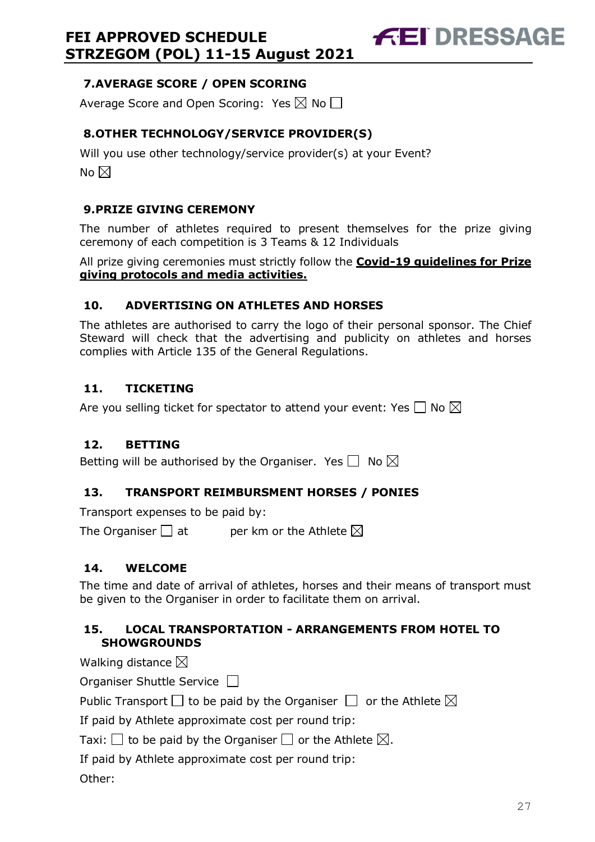<span id="page-26-0"></span>**7.AVERAGE SCORE / OPEN SCORING**

Average Score and Open Scoring: Yes  $\boxtimes$  No  $\Box$ 

### <span id="page-26-1"></span>**8.OTHER TECHNOLOGY/SERVICE PROVIDER(S)**

Will you use other technology/service provider(s) at your Event? No  $\boxtimes$ 

#### <span id="page-26-2"></span>**9.PRIZE GIVING CEREMONY**

The number of athletes required to present themselves for the prize giving ceremony of each competition is 3 Teams & 12 Individuals

**FEI DRESSAGE** 

All prize giving ceremonies must strictly follow the **Covid-19 guidelines for Prize giving protocols and media activities.**

#### <span id="page-26-3"></span>**10. ADVERTISING ON ATHLETES AND HORSES**

The athletes are authorised to carry the logo of their personal sponsor. The Chief Steward will check that the advertising and publicity on athletes and horses complies with Article 135 of the General Regulations.

#### <span id="page-26-4"></span>**11. TICKETING**

Are you selling ticket for spectator to attend your event: Yes  $\Box$  No  $\boxtimes$ 

#### <span id="page-26-5"></span>**12. BETTING**

Betting will be authorised by the Organiser. Yes  $\Box$  No  $\boxtimes$ 

#### <span id="page-26-6"></span>**13. TRANSPORT REIMBURSMENT HORSES / PONIES**

Transport expenses to be paid by:

The Organiser  $\Box$  at entries ber km or the Athlete  $\boxtimes$ 

#### <span id="page-26-7"></span>**14. WELCOME**

The time and date of arrival of athletes, horses and their means of transport must be given to the Organiser in order to facilitate them on arrival.

#### <span id="page-26-8"></span>**15. LOCAL TRANSPORTATION - ARRANGEMENTS FROM HOTEL TO SHOWGROUNDS**

Walking distance  $\boxtimes$ 

Organiser Shuttle Service  $\Box$ 

Public Transport  $\Box$  to be paid by the Organiser  $\Box$  or the Athlete  $\boxtimes$ 

If paid by Athlete approximate cost per round trip:

Taxi:  $\Box$  to be paid by the Organiser  $\Box$  or the Athlete  $\boxtimes$ .

If paid by Athlete approximate cost per round trip:

Other: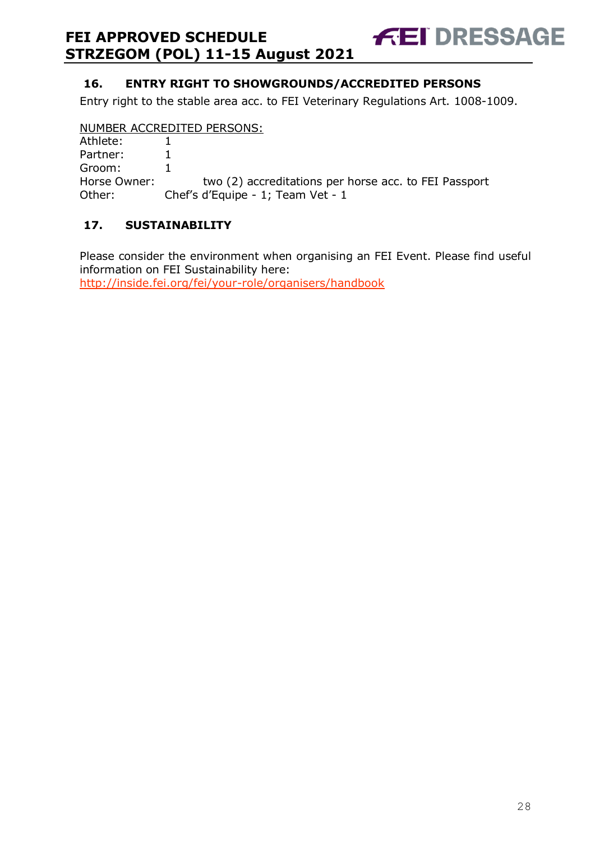#### <span id="page-27-0"></span>**16. ENTRY RIGHT TO SHOWGROUNDS/ACCREDITED PERSONS**

Entry right to the stable area acc. to FEI Veterinary Regulations Art. 1008-1009.

**FEI DRESSAGE** 

#### NUMBER ACCREDITED PERSONS:

| Athlete:     |                                                       |
|--------------|-------------------------------------------------------|
| Partner:     |                                                       |
| Groom:       |                                                       |
| Horse Owner: | two (2) accreditations per horse acc. to FEI Passport |
| Other:       | Chef's d'Equipe - 1; Team Vet - 1                     |

#### <span id="page-27-1"></span>**17. SUSTAINABILITY**

Please consider the environment when organising an FEI Event. Please find useful information on FEI Sustainability here: <http://inside.fei.org/fei/your-role/organisers/handbook>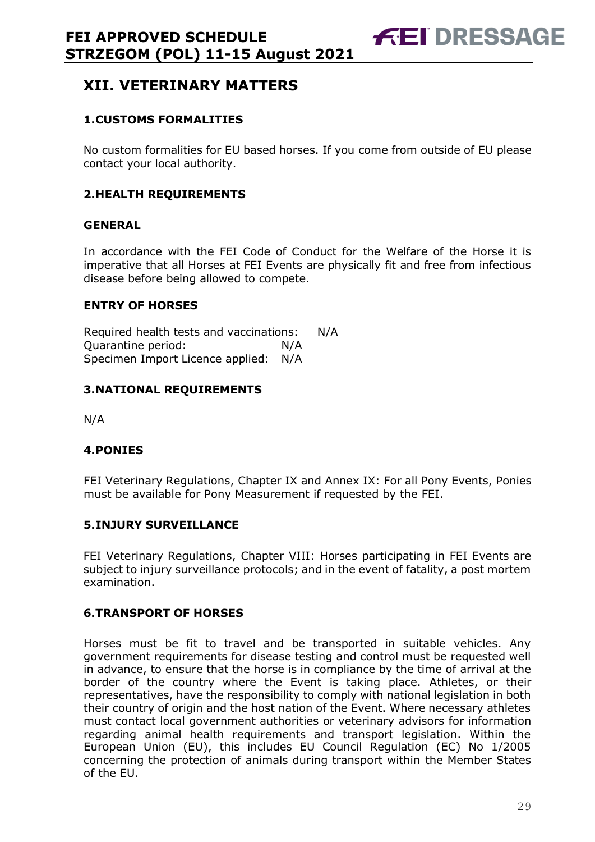# <span id="page-28-0"></span>**XII. VETERINARY MATTERS**

#### <span id="page-28-1"></span>**1.CUSTOMS FORMALITIES**

No custom formalities for EU based horses. If you come from outside of EU please contact your local authority.

#### <span id="page-28-2"></span>**2.HEALTH REQUIREMENTS**

#### **GENERAL**

In accordance with the FEI Code of Conduct for the Welfare of the Horse it is imperative that all Horses at FEI Events are physically fit and free from infectious disease before being allowed to compete.

#### **ENTRY OF HORSES**

Required health tests and vaccinations: N/A Quarantine period: N/A Specimen Import Licence applied: N/A

#### <span id="page-28-3"></span>**3.NATIONAL REQUIREMENTS**

N/A

#### <span id="page-28-4"></span>**4.PONIES**

FEI Veterinary Regulations, Chapter IX and Annex IX: For all Pony Events, Ponies must be available for Pony Measurement if requested by the FEI.

#### <span id="page-28-5"></span>**5.INJURY SURVEILLANCE**

FEI Veterinary Regulations, Chapter VIII: Horses participating in FEI Events are subject to injury surveillance protocols; and in the event of fatality, a post mortem examination.

#### <span id="page-28-6"></span>**6.TRANSPORT OF HORSES**

Horses must be fit to travel and be transported in suitable vehicles. Any government requirements for disease testing and control must be requested well in advance, to ensure that the horse is in compliance by the time of arrival at the border of the country where the Event is taking place. Athletes, or their representatives, have the responsibility to comply with national legislation in both their country of origin and the host nation of the Event. Where necessary athletes must contact local government authorities or veterinary advisors for information regarding animal health requirements and transport legislation. Within the European Union (EU), this includes EU Council Regulation (EC) No 1/2005 concerning the protection of animals during transport within the Member States of the EU.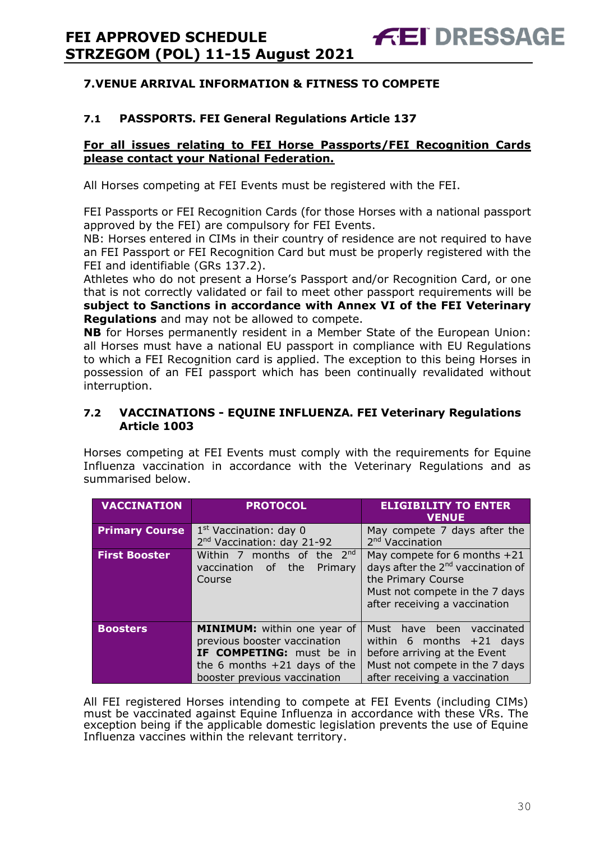#### <span id="page-29-0"></span>**7.VENUE ARRIVAL INFORMATION & FITNESS TO COMPETE**

#### **7.1 PASSPORTS. FEI General Regulations Article 137**

#### **For all issues relating to FEI Horse Passports/FEI Recognition Cards please contact your National Federation.**

All Horses competing at FEI Events must be registered with the FEI.

FEI Passports or FEI Recognition Cards (for those Horses with a national passport approved by the FEI) are compulsory for FEI Events.

NB: Horses entered in CIMs in their country of residence are not required to have an FEI Passport or FEI Recognition Card but must be properly registered with the FEI and identifiable (GRs 137.2).

Athletes who do not present a Horse's Passport and/or Recognition Card, or one that is not correctly validated or fail to meet other passport requirements will be **subject to Sanctions in accordance with Annex VI of the FEI Veterinary Regulations** and may not be allowed to compete.

**NB** for Horses permanently resident in a Member State of the European Union: all Horses must have a national EU passport in compliance with EU Regulations to which a FEI Recognition card is applied. The exception to this being Horses in possession of an FEI passport which has been continually revalidated without interruption.

#### **7.2 VACCINATIONS - EQUINE INFLUENZA. FEI Veterinary Regulations Article 1003**

Horses competing at FEI Events must comply with the requirements for Equine Influenza vaccination in accordance with the Veterinary Regulations and as summarised below.

| <b>VACCINATION</b>    | <b>PROTOCOL</b>                        | <b>ELIGIBILITY TO ENTER</b><br><b>VENUE</b>   |  |
|-----------------------|----------------------------------------|-----------------------------------------------|--|
| <b>Primary Course</b> | 1 <sup>st</sup> Vaccination: day 0     | May compete 7 days after the                  |  |
|                       | 2 <sup>nd</sup> Vaccination: day 21-92 | 2 <sup>nd</sup> Vaccination                   |  |
| <b>First Booster</b>  | Within 7 months of the $2^{nd}$        | May compete for 6 months +21                  |  |
|                       | vaccination of the<br>Primary          | days after the 2 <sup>nd</sup> vaccination of |  |
|                       | Course                                 | the Primary Course                            |  |
|                       |                                        | Must not compete in the 7 days                |  |
|                       |                                        | after receiving a vaccination                 |  |
|                       |                                        |                                               |  |
| <b>Boosters</b>       | <b>MINIMUM:</b> within one year of     | Must have been vaccinated                     |  |
|                       | previous booster vaccination           | within 6 months $+21$ days                    |  |
|                       | IF COMPETING: must be in               | before arriving at the Event                  |  |
|                       | the 6 months $+21$ days of the         | Must not compete in the 7 days                |  |
|                       | booster previous vaccination           | after receiving a vaccination                 |  |

All FEI registered Horses intending to compete at FEI Events (including CIMs) must be vaccinated against Equine Influenza in accordance with these VRs. The exception being if the applicable domestic legislation prevents the use of Equine Influenza vaccines within the relevant territory.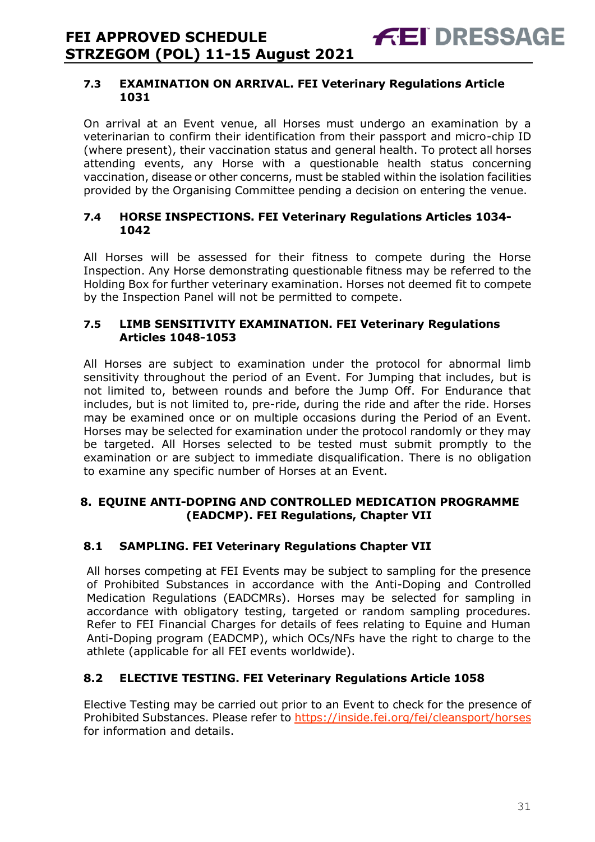**FEI DRESSAGE** 

On arrival at an Event venue, all Horses must undergo an examination by a veterinarian to confirm their identification from their passport and micro-chip ID (where present), their vaccination status and general health. To protect all horses attending events, any Horse with a questionable health status concerning vaccination, disease or other concerns, must be stabled within the isolation facilities provided by the Organising Committee pending a decision on entering the venue.

#### **7.4 HORSE INSPECTIONS. FEI Veterinary Regulations Articles 1034- 1042**

All Horses will be assessed for their fitness to compete during the Horse Inspection. Any Horse demonstrating questionable fitness may be referred to the Holding Box for further veterinary examination. Horses not deemed fit to compete by the Inspection Panel will not be permitted to compete.

#### **7.5 LIMB SENSITIVITY EXAMINATION. FEI Veterinary Regulations Articles 1048-1053**

All Horses are subject to examination under the protocol for abnormal limb sensitivity throughout the period of an Event. For Jumping that includes, but is not limited to, between rounds and before the Jump Off. For Endurance that includes, but is not limited to, pre-ride, during the ride and after the ride. Horses may be examined once or on multiple occasions during the Period of an Event. Horses may be selected for examination under the protocol randomly or they may be targeted. All Horses selected to be tested must submit promptly to the examination or are subject to immediate disqualification. There is no obligation to examine any specific number of Horses at an Event.

#### <span id="page-30-0"></span>**8. EQUINE ANTI-DOPING AND CONTROLLED MEDICATION PROGRAMME (EADCMP). FEI Regulations, Chapter VII**

#### **8.1 SAMPLING. FEI Veterinary Regulations Chapter VII**

All horses competing at FEI Events may be subject to sampling for the presence of Prohibited Substances in accordance with the Anti-Doping and Controlled Medication Regulations (EADCMRs). Horses may be selected for sampling in accordance with obligatory testing, targeted or random sampling procedures. Refer to FEI Financial Charges for details of fees relating to Equine and Human Anti-Doping program (EADCMP), which OCs/NFs have the right to charge to the athlete (applicable for all FEI events worldwide).

#### **8.2 ELECTIVE TESTING. FEI Veterinary Regulations Article 1058**

Elective Testing may be carried out prior to an Event to check for the presence of Prohibited Substances. Please refer to https://inside.fei.org/fei/cleansport/horses for information and details.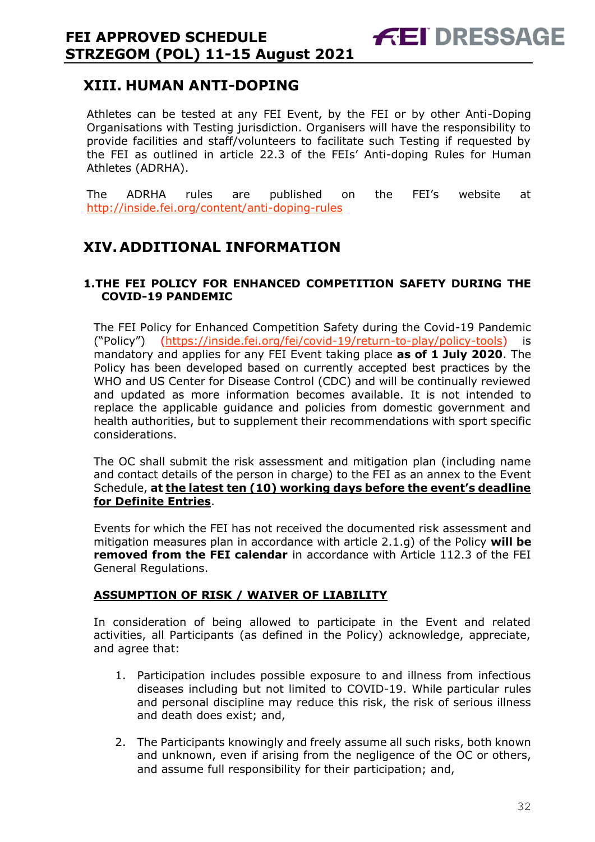<span id="page-31-0"></span>Athletes can be tested at any FEI Event, by the FEI or by other Anti-Doping Organisations with Testing jurisdiction. Organisers will have the responsibility to provide facilities and staff/volunteers to facilitate such Testing if requested by the FEI as outlined in article 22.3 of the FEIs' Anti-doping Rules for Human Athletes (ADRHA).

**FEI DRESSAGE** 

The ADRHA rules are published on the FEI's website at <http://inside.fei.org/content/anti-doping-rules>

# <span id="page-31-1"></span>**XIV.ADDITIONAL INFORMATION**

#### <span id="page-31-2"></span>**1.THE FEI POLICY FOR ENHANCED COMPETITION SAFETY DURING THE COVID-19 PANDEMIC**

The FEI Policy for Enhanced Competition Safety during the Covid-19 Pandemic ("Policy") [\(https://inside.fei.org/fei/covid-19/return-to-play/policy-tools\)](https://inside.fei.org/fei/covid-19/return-to-play/policy-tools) is mandatory and applies for any FEI Event taking place **as of 1 July 2020**. The Policy has been developed based on currently accepted best practices by the WHO and US Center for Disease Control (CDC) and will be continually reviewed and updated as more information becomes available. It is not intended to replace the applicable guidance and policies from domestic government and health authorities, but to supplement their recommendations with sport specific considerations.

The OC shall submit the risk assessment and mitigation plan (including name and contact details of the person in charge) to the FEI as an annex to the Event Schedule, **at the latest ten (10) working days before the event's deadline for Definite Entries**.

Events for which the FEI has not received the documented risk assessment and mitigation measures plan in accordance with article 2.1.g) of the Policy **will be removed from the FEI calendar** in accordance with Article 112.3 of the FEI General Regulations.

#### **ASSUMPTION OF RISK / WAIVER OF LIABILITY**

In consideration of being allowed to participate in the Event and related activities, all Participants (as defined in the Policy) acknowledge, appreciate, and agree that:

- 1. Participation includes possible exposure to and illness from infectious diseases including but not limited to COVID-19. While particular rules and personal discipline may reduce this risk, the risk of serious illness and death does exist; and,
- 2. The Participants knowingly and freely assume all such risks, both known and unknown, even if arising from the negligence of the OC or others, and assume full responsibility for their participation; and,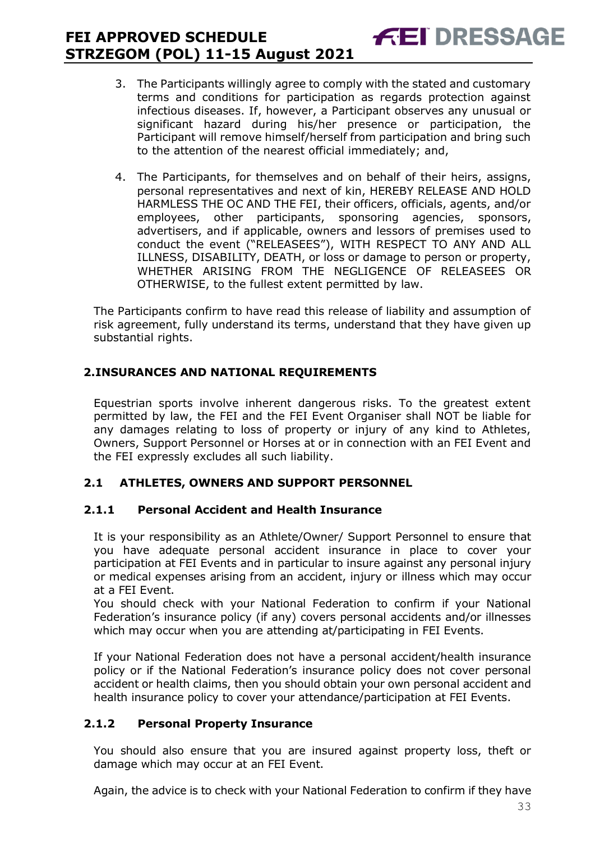3. The Participants willingly agree to comply with the stated and customary terms and conditions for participation as regards protection against infectious diseases. If, however, a Participant observes any unusual or significant hazard during his/her presence or participation, the Participant will remove himself/herself from participation and bring such to the attention of the nearest official immediately; and,

**FEI DRESSAGE** 

4. The Participants, for themselves and on behalf of their heirs, assigns, personal representatives and next of kin, HEREBY RELEASE AND HOLD HARMLESS THE OC AND THE FEI, their officers, officials, agents, and/or employees, other participants, sponsoring agencies, sponsors, advertisers, and if applicable, owners and lessors of premises used to conduct the event ("RELEASEES"), WITH RESPECT TO ANY AND ALL ILLNESS, DISABILITY, DEATH, or loss or damage to person or property, WHETHER ARISING FROM THE NEGLIGENCE OF RELEASEES OR OTHERWISE, to the fullest extent permitted by law.

The Participants confirm to have read this release of liability and assumption of risk agreement, fully understand its terms, understand that they have given up substantial rights.

#### <span id="page-32-0"></span>**2.INSURANCES AND NATIONAL REQUIREMENTS**

Equestrian sports involve inherent dangerous risks. To the greatest extent permitted by law, the FEI and the FEI Event Organiser shall NOT be liable for any damages relating to loss of property or injury of any kind to Athletes, Owners, Support Personnel or Horses at or in connection with an FEI Event and the FEI expressly excludes all such liability.

#### **2.1 ATHLETES, OWNERS AND SUPPORT PERSONNEL**

#### **2.1.1 Personal Accident and Health Insurance**

It is your responsibility as an Athlete/Owner/ Support Personnel to ensure that you have adequate personal accident insurance in place to cover your participation at FEI Events and in particular to insure against any personal injury or medical expenses arising from an accident, injury or illness which may occur at a FEI Event.

You should check with your National Federation to confirm if your National Federation's insurance policy (if any) covers personal accidents and/or illnesses which may occur when you are attending at/participating in FEI Events.

If your National Federation does not have a personal accident/health insurance policy or if the National Federation's insurance policy does not cover personal accident or health claims, then you should obtain your own personal accident and health insurance policy to cover your attendance/participation at FEI Events.

#### **2.1.2 Personal Property Insurance**

You should also ensure that you are insured against property loss, theft or damage which may occur at an FEI Event.

Again, the advice is to check with your National Federation to confirm if they have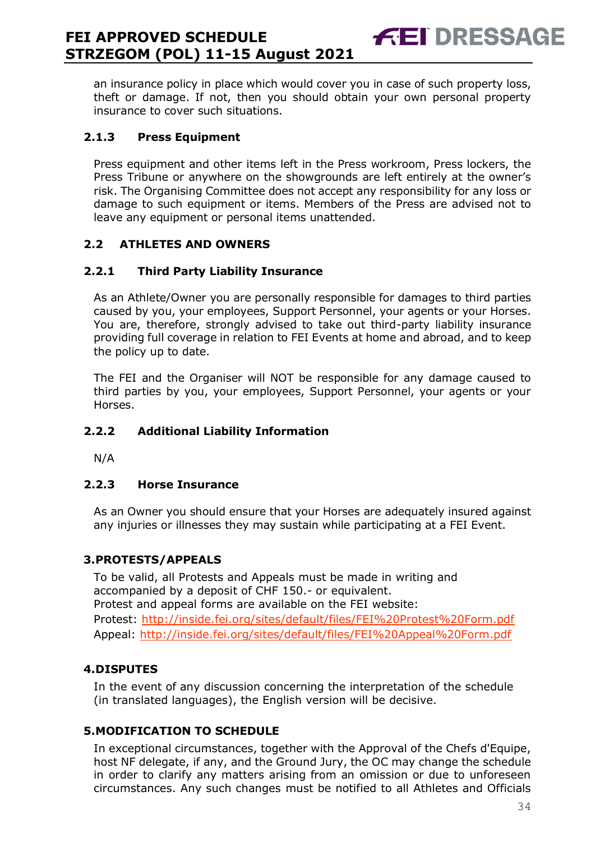an insurance policy in place which would cover you in case of such property loss, theft or damage. If not, then you should obtain your own personal property insurance to cover such situations.

**FEI DRESSAGE** 

#### **2.1.3 Press Equipment**

Press equipment and other items left in the Press workroom, Press lockers, the Press Tribune or anywhere on the showgrounds are left entirely at the owner's risk. The Organising Committee does not accept any responsibility for any loss or damage to such equipment or items. Members of the Press are advised not to leave any equipment or personal items unattended.

#### **2.2 ATHLETES AND OWNERS**

#### **2.2.1 Third Party Liability Insurance**

As an Athlete/Owner you are personally responsible for damages to third parties caused by you, your employees, Support Personnel, your agents or your Horses. You are, therefore, strongly advised to take out third-party liability insurance providing full coverage in relation to FEI Events at home and abroad, and to keep the policy up to date.

The FEI and the Organiser will NOT be responsible for any damage caused to third parties by you, your employees, Support Personnel, your agents or your Horses.

#### **2.2.2 Additional Liability Information**

N/A

#### **2.2.3 Horse Insurance**

As an Owner you should ensure that your Horses are adequately insured against any injuries or illnesses they may sustain while participating at a FEI Event.

#### <span id="page-33-0"></span>**3.PROTESTS/APPEALS**

To be valid, all Protests and Appeals must be made in writing and accompanied by a deposit of CHF 150.- or equivalent. Protest and appeal forms are available on the FEI website: Protest:<http://inside.fei.org/sites/default/files/FEI%20Protest%20Form.pdf> Appeal:<http://inside.fei.org/sites/default/files/FEI%20Appeal%20Form.pdf>

#### <span id="page-33-1"></span>**4.DISPUTES**

In the event of any discussion concerning the interpretation of the schedule (in translated languages), the English version will be decisive.

#### <span id="page-33-2"></span>**5.MODIFICATION TO SCHEDULE**

In exceptional circumstances, together with the Approval of the Chefs d'Equipe, host NF delegate, if any, and the Ground Jury, the OC may change the schedule in order to clarify any matters arising from an omission or due to unforeseen circumstances. Any such changes must be notified to all Athletes and Officials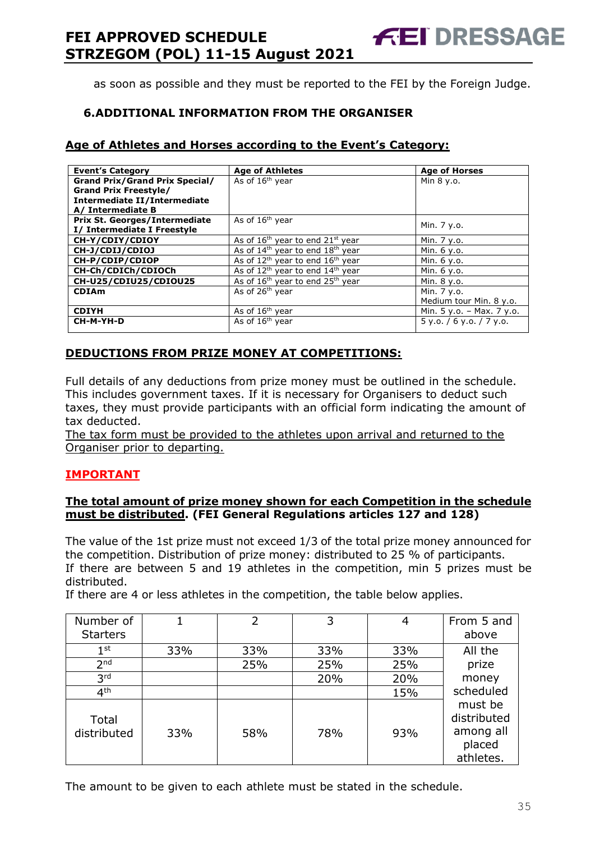as soon as possible and they must be reported to the FEI by the Foreign Judge.

**FEI DRESSAGE** 

#### <span id="page-34-0"></span>**6.ADDITIONAL INFORMATION FROM THE ORGANISER**

#### **Age of Athletes and Horses according to the Event's Category:**

| <b>Event's Category</b>               | <b>Age of Athletes</b>                                   | <b>Age of Horses</b>       |
|---------------------------------------|----------------------------------------------------------|----------------------------|
| <b>Grand Prix/Grand Prix Special/</b> | As of 16 <sup>th</sup> year                              | Min 8 y.o.                 |
| <b>Grand Prix Freestyle/</b>          |                                                          |                            |
| Intermediate II/Intermediate          |                                                          |                            |
| A/ Intermediate B                     |                                                          |                            |
| <b>Prix St. Georges/Intermediate</b>  | As of 16 <sup>th</sup> year                              | Min. 7 y.o.                |
| I/ Intermediate I Freestyle           |                                                          |                            |
| CH-Y/CDIY/CDIOY                       | As of $16th$ year to end $21st$ year                     | Min. 7 y.o.                |
| CH-J/CDIJ/CDIOJ                       | As of $14th$ year to end $18th$ year                     | Min. 6 y.o.                |
| CH-P/CDIP/CDIOP                       | As of 12 <sup>th</sup> year to end 16 <sup>th</sup> year | Min. 6 y.o.                |
| CH-Ch/CDICh/CDIOCh                    | As of 12 <sup>th</sup> year to end 14 <sup>th</sup> year | Min. 6 y.o.                |
| CH-U25/CDIU25/CDIOU25                 | As of 16 <sup>th</sup> year to end 25 <sup>th</sup> year | Min. 8 y.o.                |
| <b>CDIAm</b>                          | As of 26 <sup>th</sup> year                              | Min. 7 y.o.                |
|                                       |                                                          | Medium tour Min. 8 y.o.    |
| <b>CDIYH</b>                          | As of $16th$ year                                        | Min. 5 y.o. - Max. 7 y.o.  |
| CH-M-YH-D                             | As of 16 <sup>th</sup> year                              | $5$ y.o. / 6 y.o. / 7 y.o. |
|                                       |                                                          |                            |

#### **DEDUCTIONS FROM PRIZE MONEY AT COMPETITIONS:**

Full details of any deductions from prize money must be outlined in the schedule. This includes government taxes. If it is necessary for Organisers to deduct such taxes, they must provide participants with an official form indicating the amount of tax deducted.

The tax form must be provided to the athletes upon arrival and returned to the Organiser prior to departing.

#### **IMPORTANT**

#### **The total amount of prize money shown for each Competition in the schedule must be distributed. (FEI General Regulations articles 127 and 128)**

The value of the 1st prize must not exceed 1/3 of the total prize money announced for the competition. Distribution of prize money: distributed to 25 % of participants. If there are between 5 and 19 athletes in the competition, min 5 prizes must be distributed.

If there are 4 or less athletes in the competition, the table below applies.

| Number of<br><b>Starters</b> |     | 2   | 3   |     | From 5 and<br>above                                        |
|------------------------------|-----|-----|-----|-----|------------------------------------------------------------|
| $1^{\rm st}$                 | 33% | 33% | 33% | 33% | All the                                                    |
| 2 <sub>nd</sub>              |     | 25% | 25% | 25% | prize                                                      |
| 3 <sup>rd</sup>              |     |     | 20% | 20% | money                                                      |
| 4 <sup>th</sup>              |     |     |     | 15% | scheduled                                                  |
| Total<br>distributed         | 33% | 58% | 78% | 93% | must be<br>distributed<br>among all<br>placed<br>athletes. |

The amount to be given to each athlete must be stated in the schedule.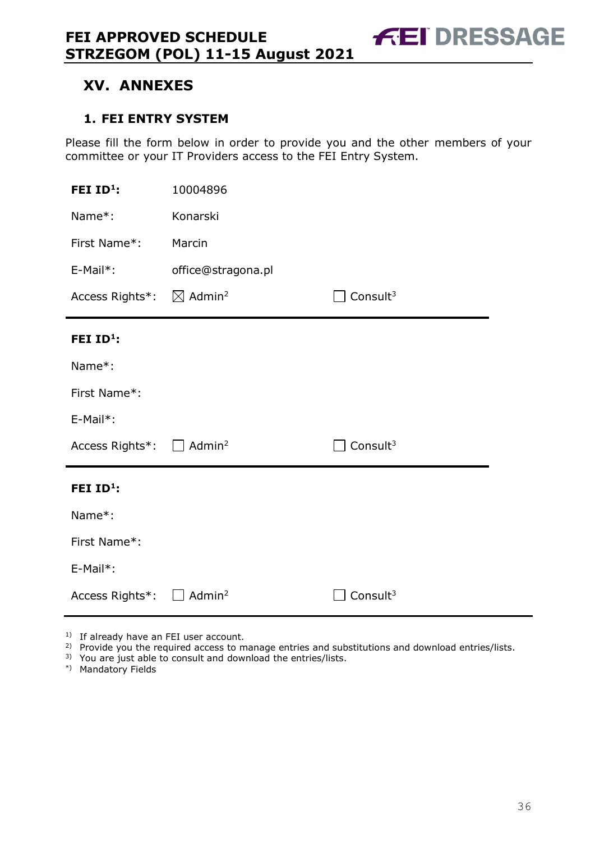# <span id="page-35-0"></span>**XV. ANNEXES**

#### <span id="page-35-1"></span>**1. FEI ENTRY SYSTEM**

Please fill the form below in order to provide you and the other members of your committee or your IT Providers access to the FEI Entry System.

| FEI $ID^1$ :                                      | 10004896           |                      |
|---------------------------------------------------|--------------------|----------------------|
| Name*:                                            | Konarski           |                      |
| First Name*:                                      | Marcin             |                      |
| $E-Mail*$ :                                       | office@stragona.pl |                      |
| Access Rights*: $\boxtimes$ Admin <sup>2</sup>    |                    | Consult $3$          |
| FEI ID <sup>1</sup> :                             |                    |                      |
| Name*:                                            |                    |                      |
| First Name*:                                      |                    |                      |
| E-Mail*:                                          |                    |                      |
| Access Rights <sup>*</sup> : □ Admin <sup>2</sup> |                    | Consult <sup>3</sup> |
| FEI ID <sup>1</sup> :                             |                    |                      |
| Name*:                                            |                    |                      |
| First Name*:                                      |                    |                      |
| E-Mail*:                                          |                    |                      |
| Access Rights*:                                   | Admin <sup>2</sup> | Consult $3$          |

<sup>1)</sup> If already have an FEI user account.

- <sup>2)</sup> Provide you the required access to manage entries and substitutions and download entries/lists.
- 3) You are just able to consult and download the entries/lists.
- \*) Mandatory Fields